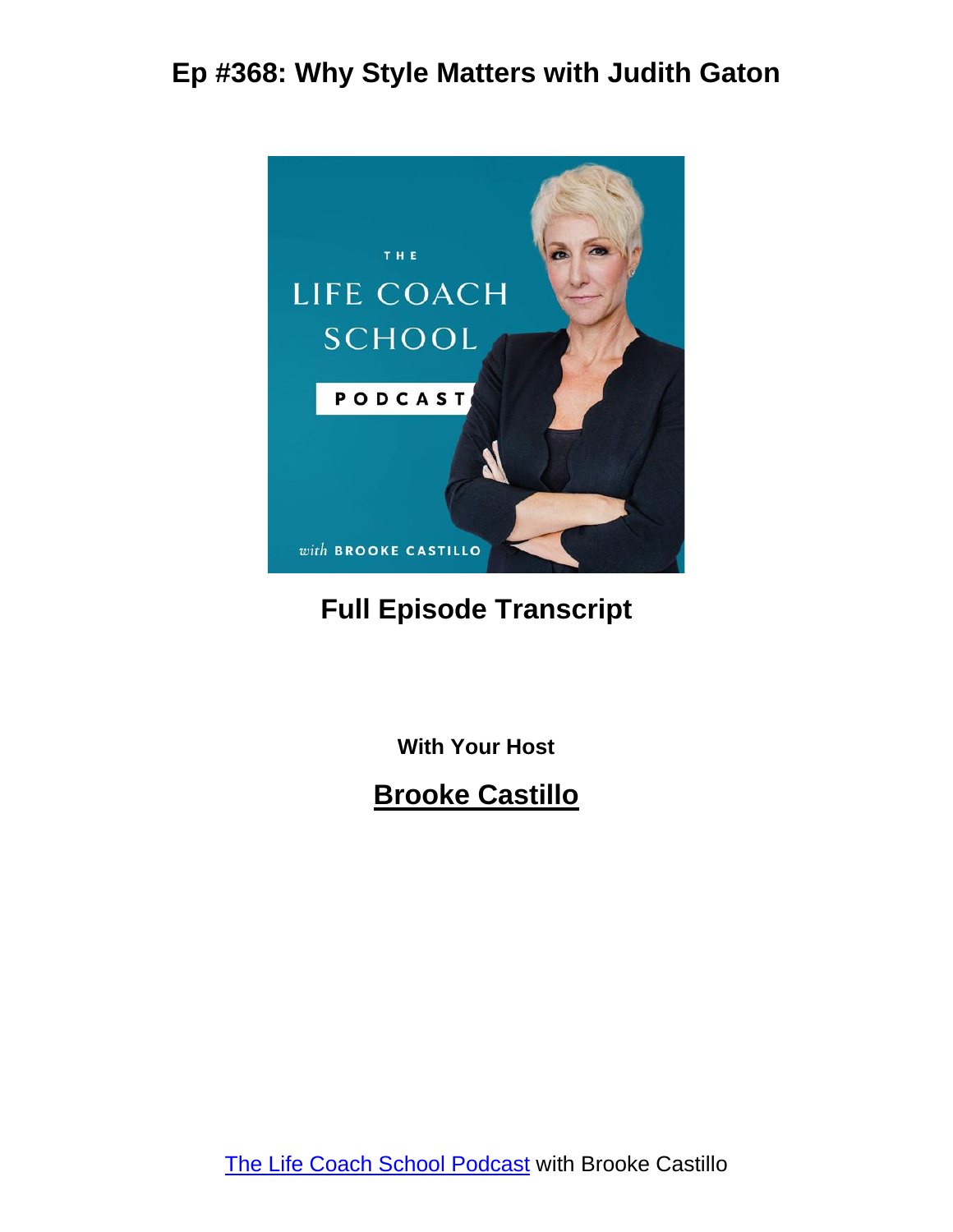

#### **Full Episode Transcript**

**With Your Host**

#### **Brooke Castillo**

The Life Coach School [Podcast](http://www.thelifecoachschool.com/) with Brooke Castillo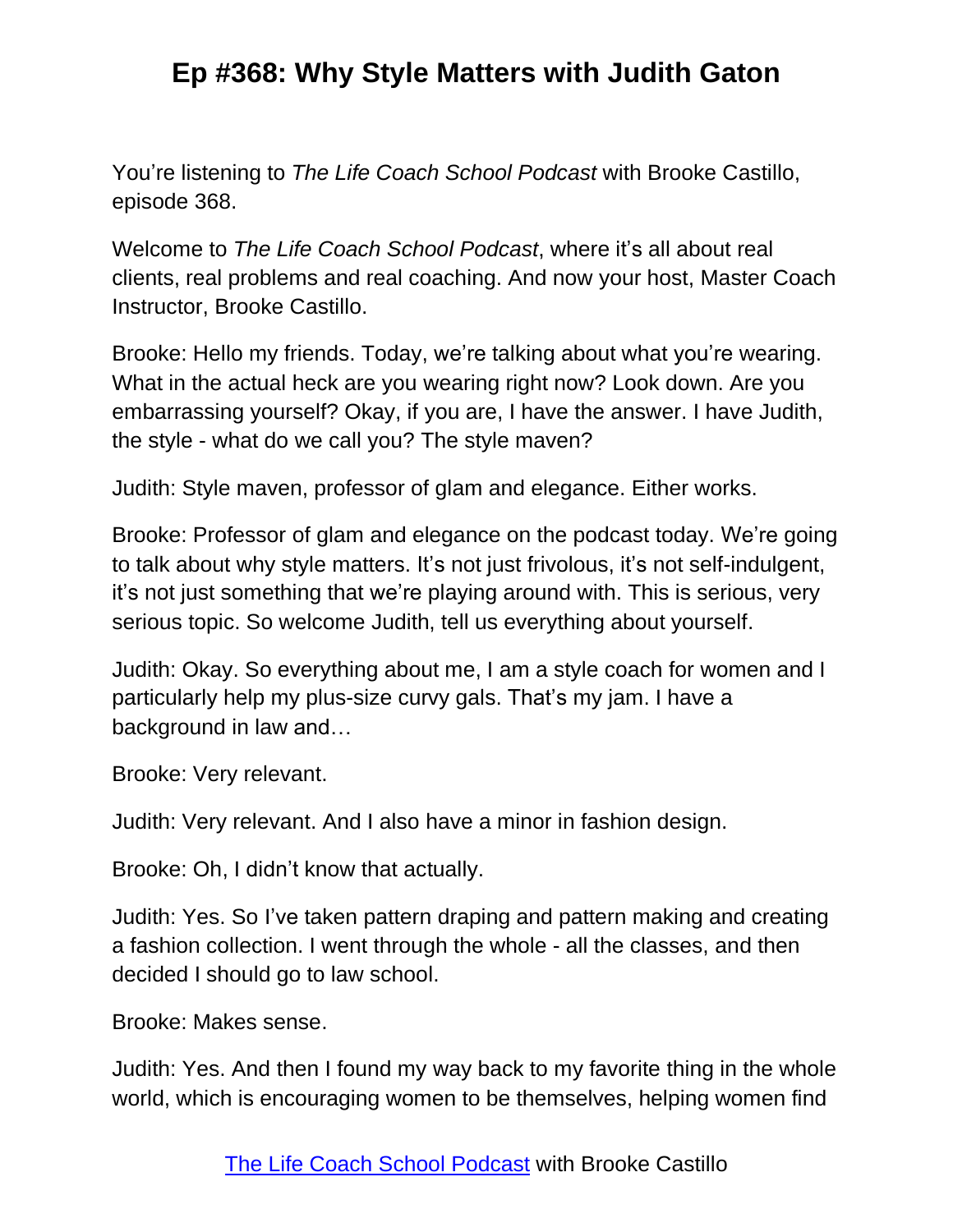You're listening to *The Life Coach School Podcast* with Brooke Castillo, episode 368.

Welcome to *The Life Coach School Podcast*, where it's all about real clients, real problems and real coaching. And now your host, Master Coach Instructor, Brooke Castillo.

Brooke: Hello my friends. Today, we're talking about what you're wearing. What in the actual heck are you wearing right now? Look down. Are you embarrassing yourself? Okay, if you are, I have the answer. I have Judith, the style - what do we call you? The style maven?

Judith: Style maven, professor of glam and elegance. Either works.

Brooke: Professor of glam and elegance on the podcast today. We're going to talk about why style matters. It's not just frivolous, it's not self-indulgent, it's not just something that we're playing around with. This is serious, very serious topic. So welcome Judith, tell us everything about yourself.

Judith: Okay. So everything about me, I am a style coach for women and I particularly help my plus-size curvy gals. That's my jam. I have a background in law and…

Brooke: Very relevant.

Judith: Very relevant. And I also have a minor in fashion design.

Brooke: Oh, I didn't know that actually.

Judith: Yes. So I've taken pattern draping and pattern making and creating a fashion collection. I went through the whole - all the classes, and then decided I should go to law school.

Brooke: Makes sense.

Judith: Yes. And then I found my way back to my favorite thing in the whole world, which is encouraging women to be themselves, helping women find

The Life Coach School [Podcast](http://www.thelifecoachschool.com/) with Brooke Castillo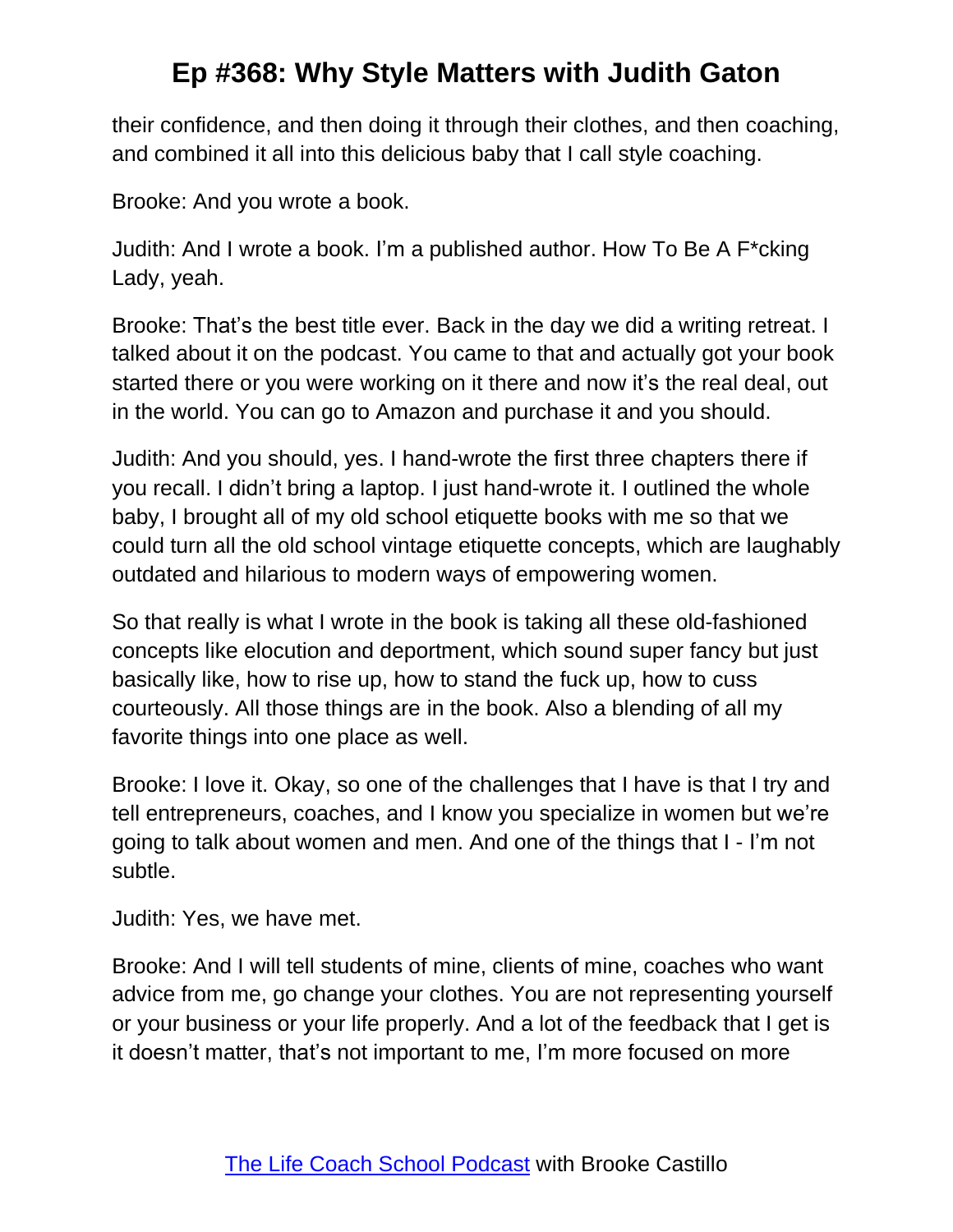their confidence, and then doing it through their clothes, and then coaching, and combined it all into this delicious baby that I call style coaching.

Brooke: And you wrote a book.

Judith: And I wrote a book. I'm a published author. How To Be A F\*cking Lady, yeah.

Brooke: That's the best title ever. Back in the day we did a writing retreat. I talked about it on the podcast. You came to that and actually got your book started there or you were working on it there and now it's the real deal, out in the world. You can go to Amazon and purchase it and you should.

Judith: And you should, yes. I hand-wrote the first three chapters there if you recall. I didn't bring a laptop. I just hand-wrote it. I outlined the whole baby, I brought all of my old school etiquette books with me so that we could turn all the old school vintage etiquette concepts, which are laughably outdated and hilarious to modern ways of empowering women.

So that really is what I wrote in the book is taking all these old-fashioned concepts like elocution and deportment, which sound super fancy but just basically like, how to rise up, how to stand the fuck up, how to cuss courteously. All those things are in the book. Also a blending of all my favorite things into one place as well.

Brooke: I love it. Okay, so one of the challenges that I have is that I try and tell entrepreneurs, coaches, and I know you specialize in women but we're going to talk about women and men. And one of the things that I - I'm not subtle.

Judith: Yes, we have met.

Brooke: And I will tell students of mine, clients of mine, coaches who want advice from me, go change your clothes. You are not representing yourself or your business or your life properly. And a lot of the feedback that I get is it doesn't matter, that's not important to me, I'm more focused on more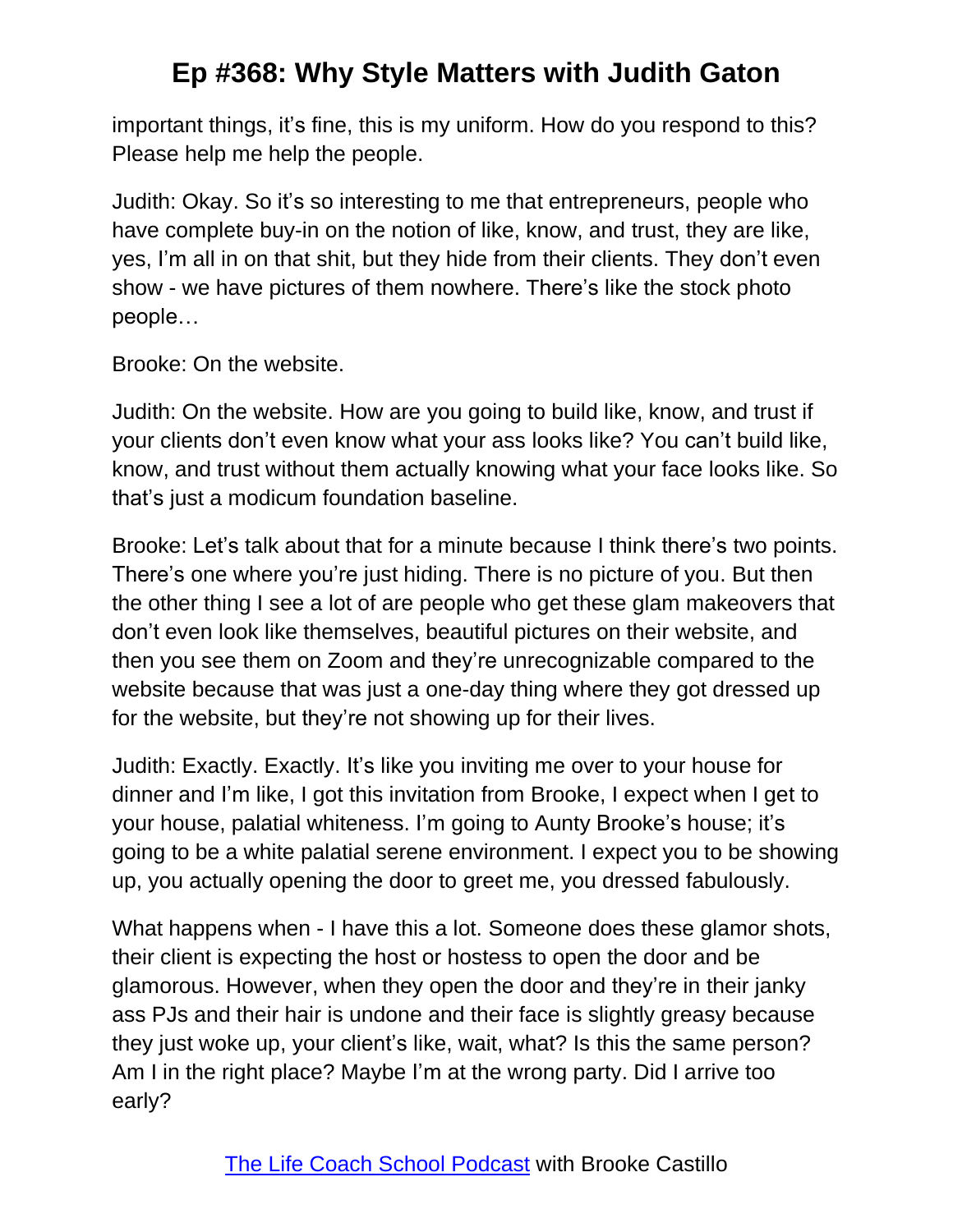important things, it's fine, this is my uniform. How do you respond to this? Please help me help the people.

Judith: Okay. So it's so interesting to me that entrepreneurs, people who have complete buy-in on the notion of like, know, and trust, they are like, yes, I'm all in on that shit, but they hide from their clients. They don't even show - we have pictures of them nowhere. There's like the stock photo people…

Brooke: On the website.

Judith: On the website. How are you going to build like, know, and trust if your clients don't even know what your ass looks like? You can't build like, know, and trust without them actually knowing what your face looks like. So that's just a modicum foundation baseline.

Brooke: Let's talk about that for a minute because I think there's two points. There's one where you're just hiding. There is no picture of you. But then the other thing I see a lot of are people who get these glam makeovers that don't even look like themselves, beautiful pictures on their website, and then you see them on Zoom and they're unrecognizable compared to the website because that was just a one-day thing where they got dressed up for the website, but they're not showing up for their lives.

Judith: Exactly. Exactly. It's like you inviting me over to your house for dinner and I'm like, I got this invitation from Brooke, I expect when I get to your house, palatial whiteness. I'm going to Aunty Brooke's house; it's going to be a white palatial serene environment. I expect you to be showing up, you actually opening the door to greet me, you dressed fabulously.

What happens when - I have this a lot. Someone does these glamor shots, their client is expecting the host or hostess to open the door and be glamorous. However, when they open the door and they're in their janky ass PJs and their hair is undone and their face is slightly greasy because they just woke up, your client's like, wait, what? Is this the same person? Am I in the right place? Maybe I'm at the wrong party. Did I arrive too early?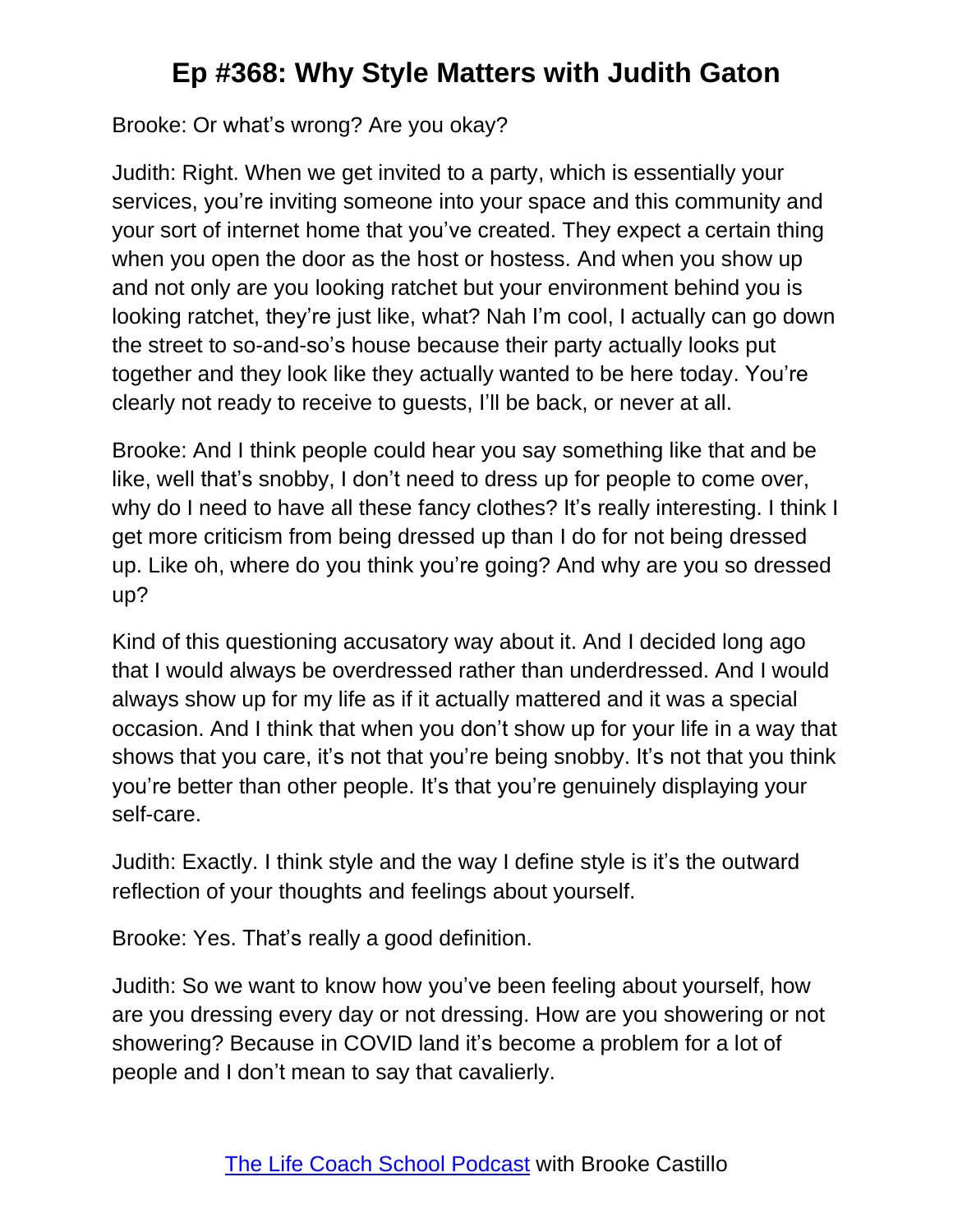Brooke: Or what's wrong? Are you okay?

Judith: Right. When we get invited to a party, which is essentially your services, you're inviting someone into your space and this community and your sort of internet home that you've created. They expect a certain thing when you open the door as the host or hostess. And when you show up and not only are you looking ratchet but your environment behind you is looking ratchet, they're just like, what? Nah I'm cool, I actually can go down the street to so-and-so's house because their party actually looks put together and they look like they actually wanted to be here today. You're clearly not ready to receive to guests, I'll be back, or never at all.

Brooke: And I think people could hear you say something like that and be like, well that's snobby, I don't need to dress up for people to come over, why do I need to have all these fancy clothes? It's really interesting. I think I get more criticism from being dressed up than I do for not being dressed up. Like oh, where do you think you're going? And why are you so dressed up?

Kind of this questioning accusatory way about it. And I decided long ago that I would always be overdressed rather than underdressed. And I would always show up for my life as if it actually mattered and it was a special occasion. And I think that when you don't show up for your life in a way that shows that you care, it's not that you're being snobby. It's not that you think you're better than other people. It's that you're genuinely displaying your self-care.

Judith: Exactly. I think style and the way I define style is it's the outward reflection of your thoughts and feelings about yourself.

Brooke: Yes. That's really a good definition.

Judith: So we want to know how you've been feeling about yourself, how are you dressing every day or not dressing. How are you showering or not showering? Because in COVID land it's become a problem for a lot of people and I don't mean to say that cavalierly.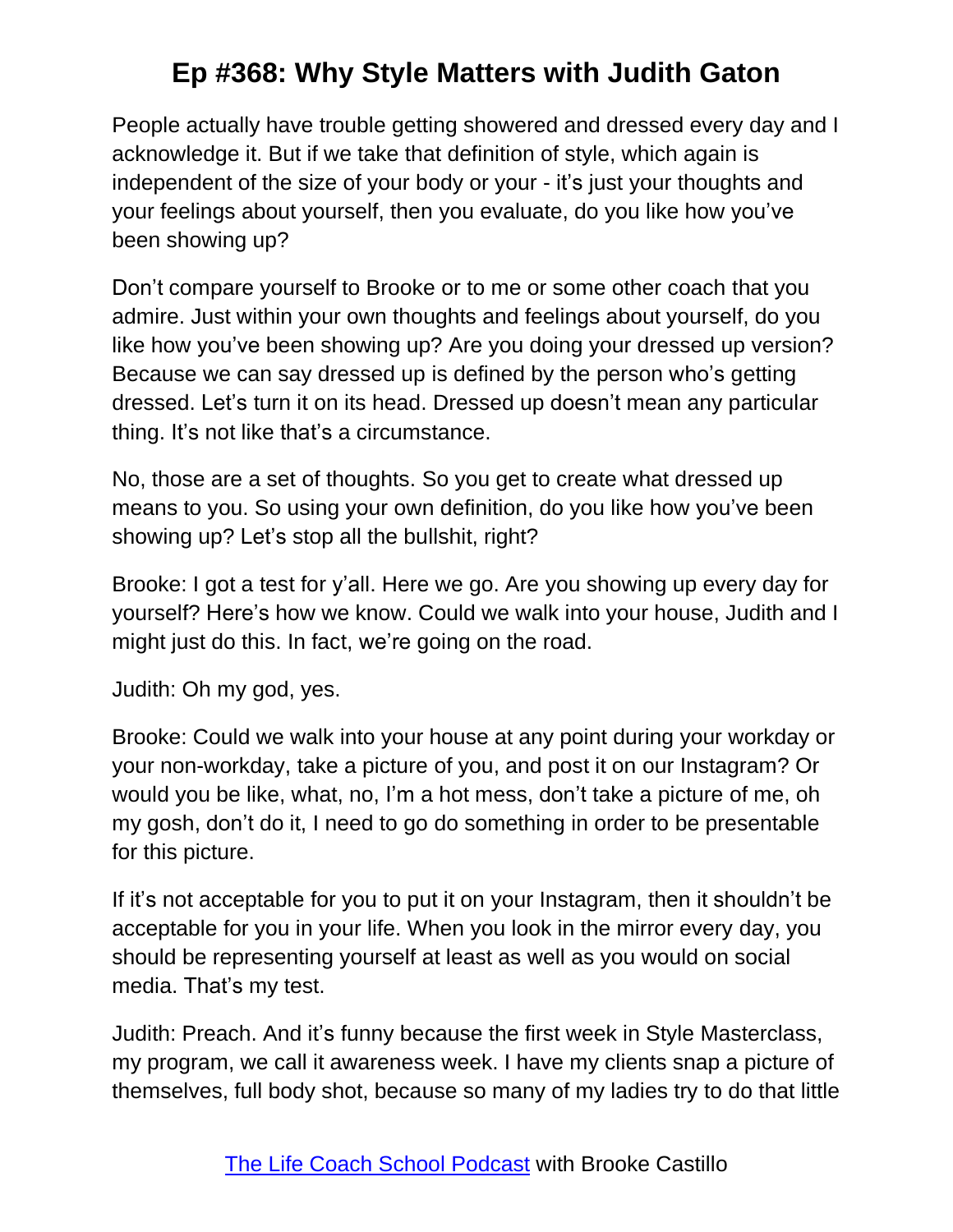People actually have trouble getting showered and dressed every day and I acknowledge it. But if we take that definition of style, which again is independent of the size of your body or your - it's just your thoughts and your feelings about yourself, then you evaluate, do you like how you've been showing up?

Don't compare yourself to Brooke or to me or some other coach that you admire. Just within your own thoughts and feelings about yourself, do you like how you've been showing up? Are you doing your dressed up version? Because we can say dressed up is defined by the person who's getting dressed. Let's turn it on its head. Dressed up doesn't mean any particular thing. It's not like that's a circumstance.

No, those are a set of thoughts. So you get to create what dressed up means to you. So using your own definition, do you like how you've been showing up? Let's stop all the bullshit, right?

Brooke: I got a test for y'all. Here we go. Are you showing up every day for yourself? Here's how we know. Could we walk into your house, Judith and I might just do this. In fact, we're going on the road.

Judith: Oh my god, yes.

Brooke: Could we walk into your house at any point during your workday or your non-workday, take a picture of you, and post it on our Instagram? Or would you be like, what, no, I'm a hot mess, don't take a picture of me, oh my gosh, don't do it, I need to go do something in order to be presentable for this picture.

If it's not acceptable for you to put it on your Instagram, then it shouldn't be acceptable for you in your life. When you look in the mirror every day, you should be representing yourself at least as well as you would on social media. That's my test.

Judith: Preach. And it's funny because the first week in Style Masterclass, my program, we call it awareness week. I have my clients snap a picture of themselves, full body shot, because so many of my ladies try to do that little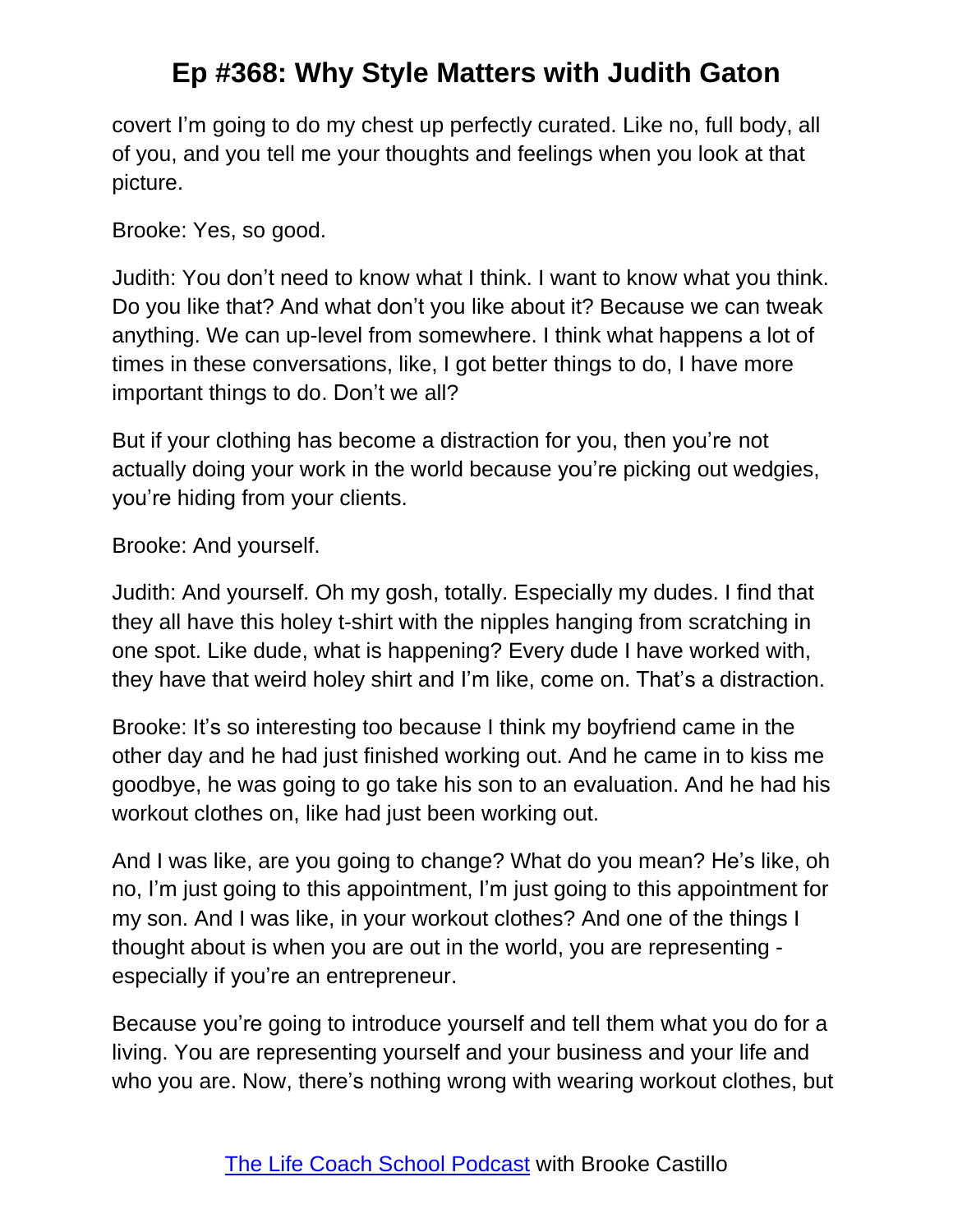covert I'm going to do my chest up perfectly curated. Like no, full body, all of you, and you tell me your thoughts and feelings when you look at that picture.

Brooke: Yes, so good.

Judith: You don't need to know what I think. I want to know what you think. Do you like that? And what don't you like about it? Because we can tweak anything. We can up-level from somewhere. I think what happens a lot of times in these conversations, like, I got better things to do, I have more important things to do. Don't we all?

But if your clothing has become a distraction for you, then you're not actually doing your work in the world because you're picking out wedgies, you're hiding from your clients.

#### Brooke: And yourself.

Judith: And yourself. Oh my gosh, totally. Especially my dudes. I find that they all have this holey t-shirt with the nipples hanging from scratching in one spot. Like dude, what is happening? Every dude I have worked with, they have that weird holey shirt and I'm like, come on. That's a distraction.

Brooke: It's so interesting too because I think my boyfriend came in the other day and he had just finished working out. And he came in to kiss me goodbye, he was going to go take his son to an evaluation. And he had his workout clothes on, like had just been working out.

And I was like, are you going to change? What do you mean? He's like, oh no, I'm just going to this appointment, I'm just going to this appointment for my son. And I was like, in your workout clothes? And one of the things I thought about is when you are out in the world, you are representing especially if you're an entrepreneur.

Because you're going to introduce yourself and tell them what you do for a living. You are representing yourself and your business and your life and who you are. Now, there's nothing wrong with wearing workout clothes, but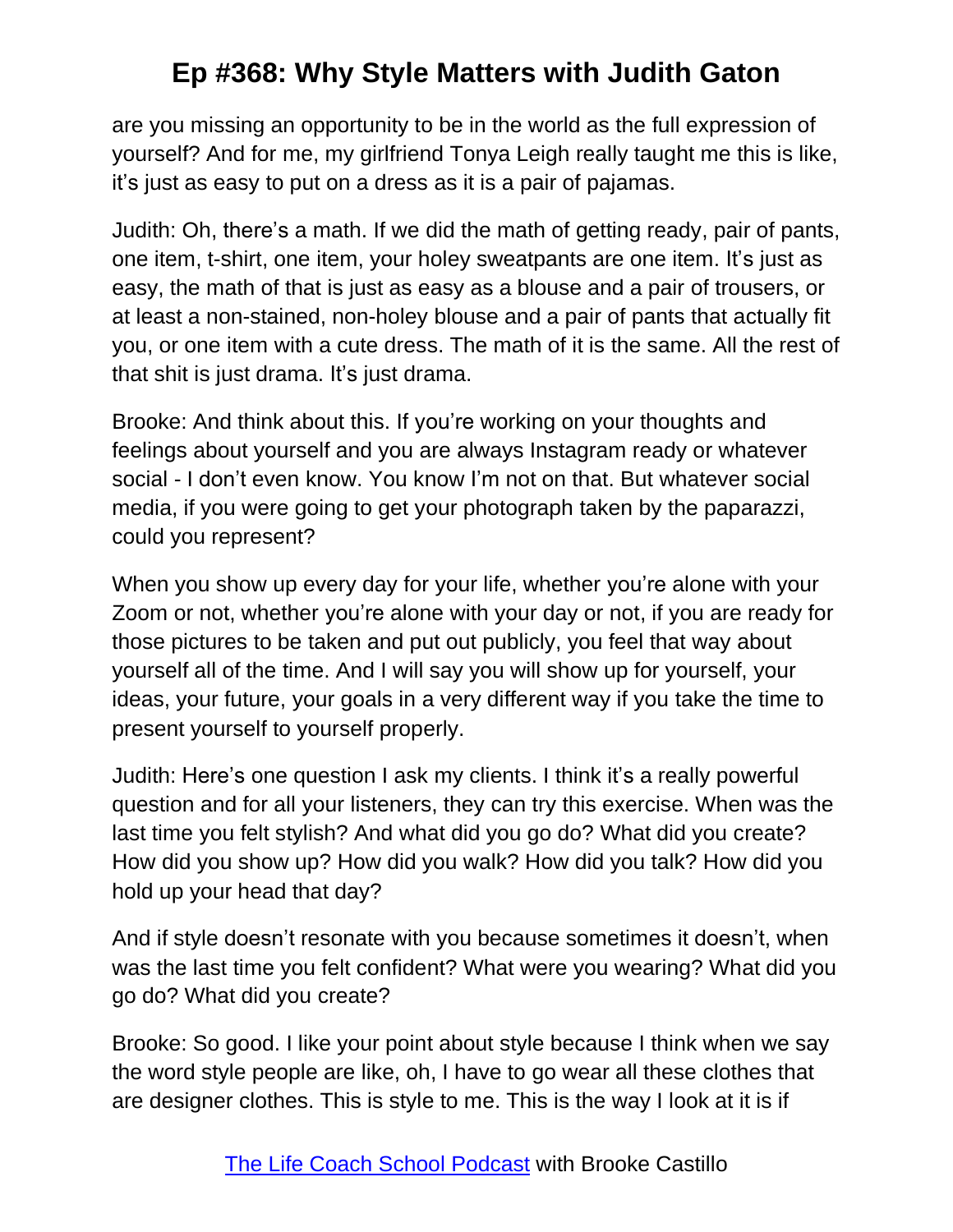are you missing an opportunity to be in the world as the full expression of yourself? And for me, my girlfriend Tonya Leigh really taught me this is like, it's just as easy to put on a dress as it is a pair of pajamas.

Judith: Oh, there's a math. If we did the math of getting ready, pair of pants, one item, t-shirt, one item, your holey sweatpants are one item. It's just as easy, the math of that is just as easy as a blouse and a pair of trousers, or at least a non-stained, non-holey blouse and a pair of pants that actually fit you, or one item with a cute dress. The math of it is the same. All the rest of that shit is just drama. It's just drama.

Brooke: And think about this. If you're working on your thoughts and feelings about yourself and you are always Instagram ready or whatever social - I don't even know. You know I'm not on that. But whatever social media, if you were going to get your photograph taken by the paparazzi, could you represent?

When you show up every day for your life, whether you're alone with your Zoom or not, whether you're alone with your day or not, if you are ready for those pictures to be taken and put out publicly, you feel that way about yourself all of the time. And I will say you will show up for yourself, your ideas, your future, your goals in a very different way if you take the time to present yourself to yourself properly.

Judith: Here's one question I ask my clients. I think it's a really powerful question and for all your listeners, they can try this exercise. When was the last time you felt stylish? And what did you go do? What did you create? How did you show up? How did you walk? How did you talk? How did you hold up your head that day?

And if style doesn't resonate with you because sometimes it doesn't, when was the last time you felt confident? What were you wearing? What did you go do? What did you create?

Brooke: So good. I like your point about style because I think when we say the word style people are like, oh, I have to go wear all these clothes that are designer clothes. This is style to me. This is the way I look at it is if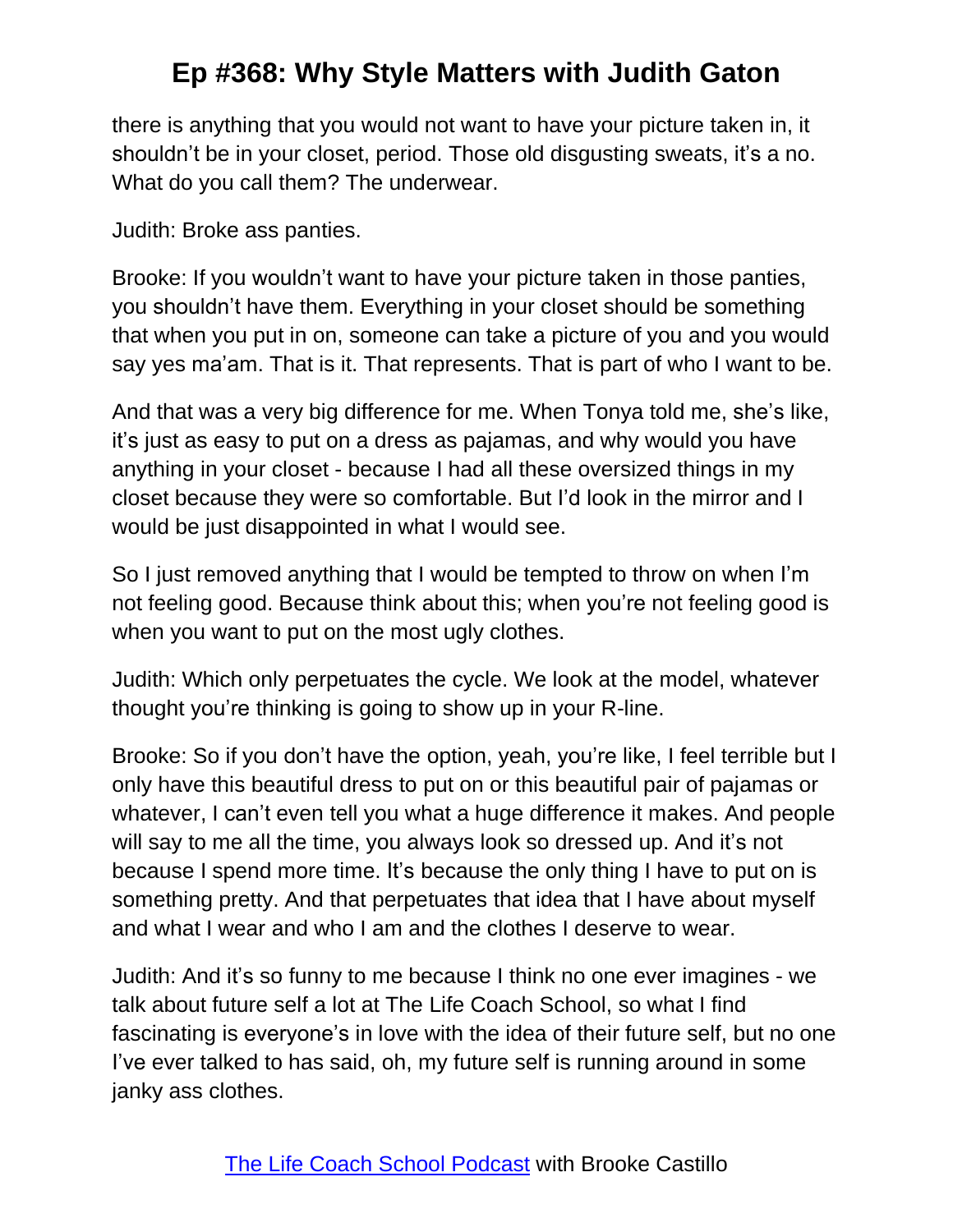there is anything that you would not want to have your picture taken in, it shouldn't be in your closet, period. Those old disgusting sweats, it's a no. What do you call them? The underwear.

Judith: Broke ass panties.

Brooke: If you wouldn't want to have your picture taken in those panties, you shouldn't have them. Everything in your closet should be something that when you put in on, someone can take a picture of you and you would say yes ma'am. That is it. That represents. That is part of who I want to be.

And that was a very big difference for me. When Tonya told me, she's like, it's just as easy to put on a dress as pajamas, and why would you have anything in your closet - because I had all these oversized things in my closet because they were so comfortable. But I'd look in the mirror and I would be just disappointed in what I would see.

So I just removed anything that I would be tempted to throw on when I'm not feeling good. Because think about this; when you're not feeling good is when you want to put on the most ugly clothes.

Judith: Which only perpetuates the cycle. We look at the model, whatever thought you're thinking is going to show up in your R-line.

Brooke: So if you don't have the option, yeah, you're like, I feel terrible but I only have this beautiful dress to put on or this beautiful pair of pajamas or whatever, I can't even tell you what a huge difference it makes. And people will say to me all the time, you always look so dressed up. And it's not because I spend more time. It's because the only thing I have to put on is something pretty. And that perpetuates that idea that I have about myself and what I wear and who I am and the clothes I deserve to wear.

Judith: And it's so funny to me because I think no one ever imagines - we talk about future self a lot at The Life Coach School, so what I find fascinating is everyone's in love with the idea of their future self, but no one I've ever talked to has said, oh, my future self is running around in some janky ass clothes.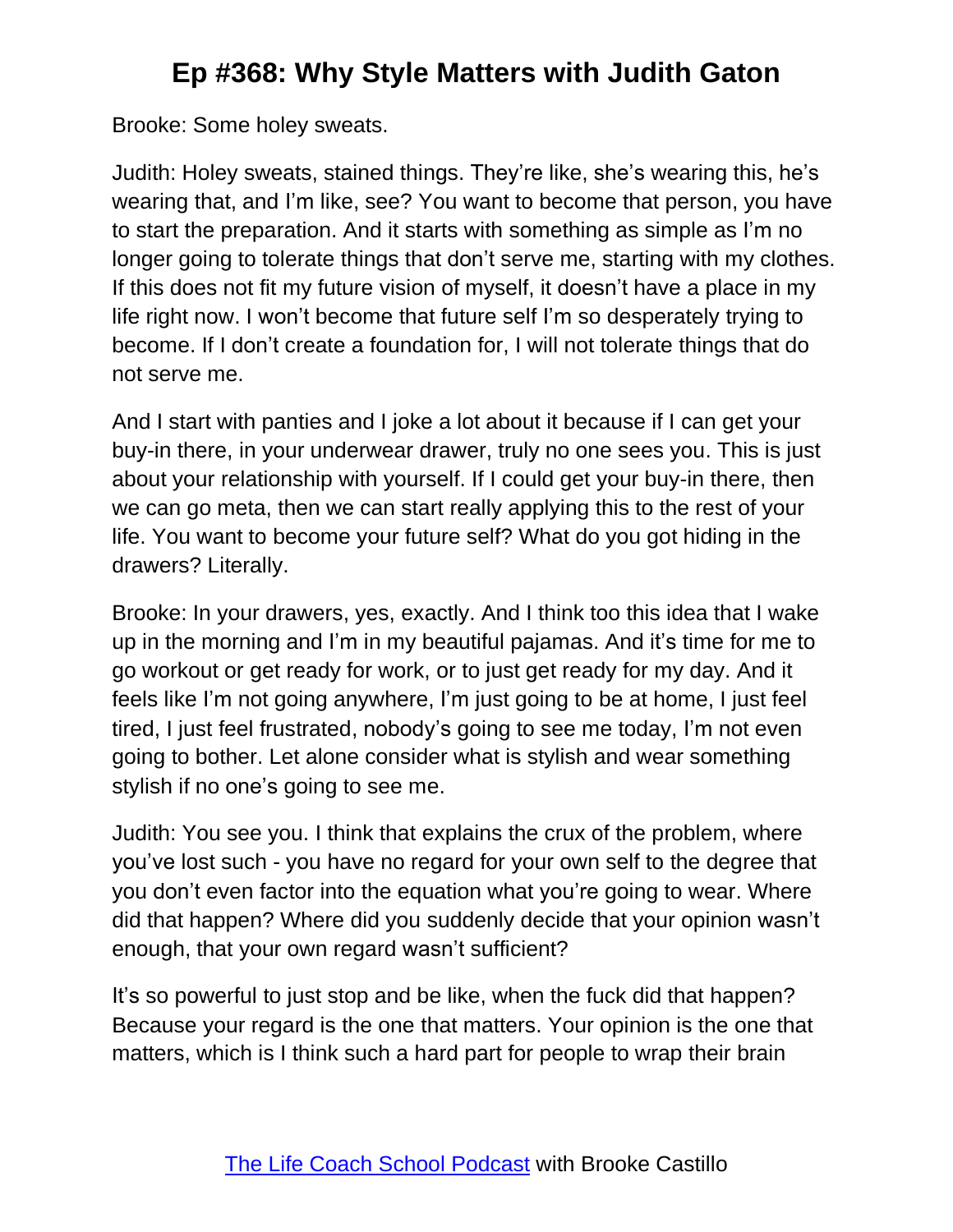Brooke: Some holey sweats.

Judith: Holey sweats, stained things. They're like, she's wearing this, he's wearing that, and I'm like, see? You want to become that person, you have to start the preparation. And it starts with something as simple as I'm no longer going to tolerate things that don't serve me, starting with my clothes. If this does not fit my future vision of myself, it doesn't have a place in my life right now. I won't become that future self I'm so desperately trying to become. If I don't create a foundation for, I will not tolerate things that do not serve me.

And I start with panties and I joke a lot about it because if I can get your buy-in there, in your underwear drawer, truly no one sees you. This is just about your relationship with yourself. If I could get your buy-in there, then we can go meta, then we can start really applying this to the rest of your life. You want to become your future self? What do you got hiding in the drawers? Literally.

Brooke: In your drawers, yes, exactly. And I think too this idea that I wake up in the morning and I'm in my beautiful pajamas. And it's time for me to go workout or get ready for work, or to just get ready for my day. And it feels like I'm not going anywhere, I'm just going to be at home, I just feel tired, I just feel frustrated, nobody's going to see me today, I'm not even going to bother. Let alone consider what is stylish and wear something stylish if no one's going to see me.

Judith: You see you. I think that explains the crux of the problem, where you've lost such - you have no regard for your own self to the degree that you don't even factor into the equation what you're going to wear. Where did that happen? Where did you suddenly decide that your opinion wasn't enough, that your own regard wasn't sufficient?

It's so powerful to just stop and be like, when the fuck did that happen? Because your regard is the one that matters. Your opinion is the one that matters, which is I think such a hard part for people to wrap their brain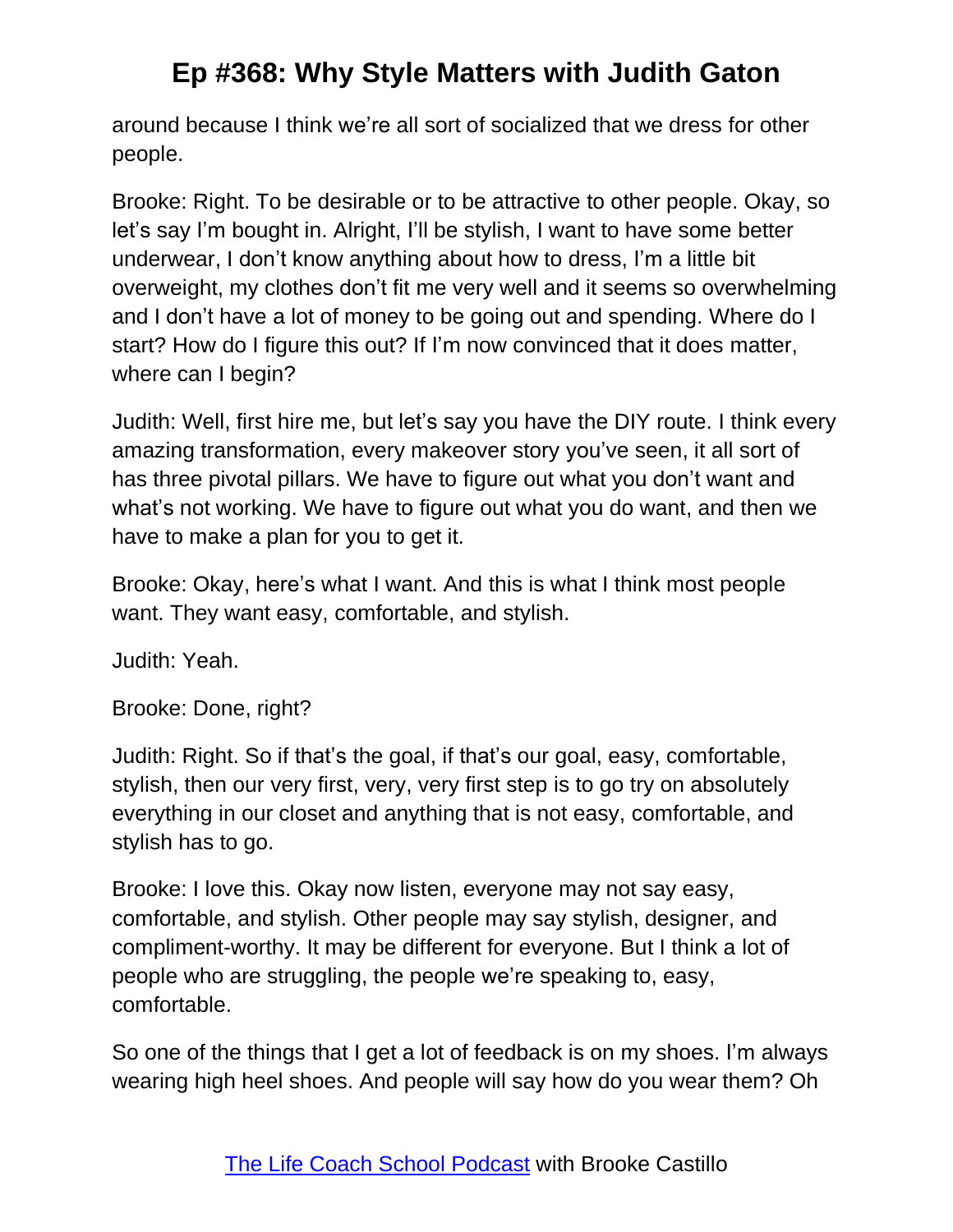around because I think we're all sort of socialized that we dress for other people.

Brooke: Right. To be desirable or to be attractive to other people. Okay, so let's say I'm bought in. Alright, I'll be stylish, I want to have some better underwear, I don't know anything about how to dress, I'm a little bit overweight, my clothes don't fit me very well and it seems so overwhelming and I don't have a lot of money to be going out and spending. Where do I start? How do I figure this out? If I'm now convinced that it does matter, where can I begin?

Judith: Well, first hire me, but let's say you have the DIY route. I think every amazing transformation, every makeover story you've seen, it all sort of has three pivotal pillars. We have to figure out what you don't want and what's not working. We have to figure out what you do want, and then we have to make a plan for you to get it.

Brooke: Okay, here's what I want. And this is what I think most people want. They want easy, comfortable, and stylish.

Judith: Yeah.

Brooke: Done, right?

Judith: Right. So if that's the goal, if that's our goal, easy, comfortable, stylish, then our very first, very, very first step is to go try on absolutely everything in our closet and anything that is not easy, comfortable, and stylish has to go.

Brooke: I love this. Okay now listen, everyone may not say easy, comfortable, and stylish. Other people may say stylish, designer, and compliment-worthy. It may be different for everyone. But I think a lot of people who are struggling, the people we're speaking to, easy, comfortable.

So one of the things that I get a lot of feedback is on my shoes. I'm always wearing high heel shoes. And people will say how do you wear them? Oh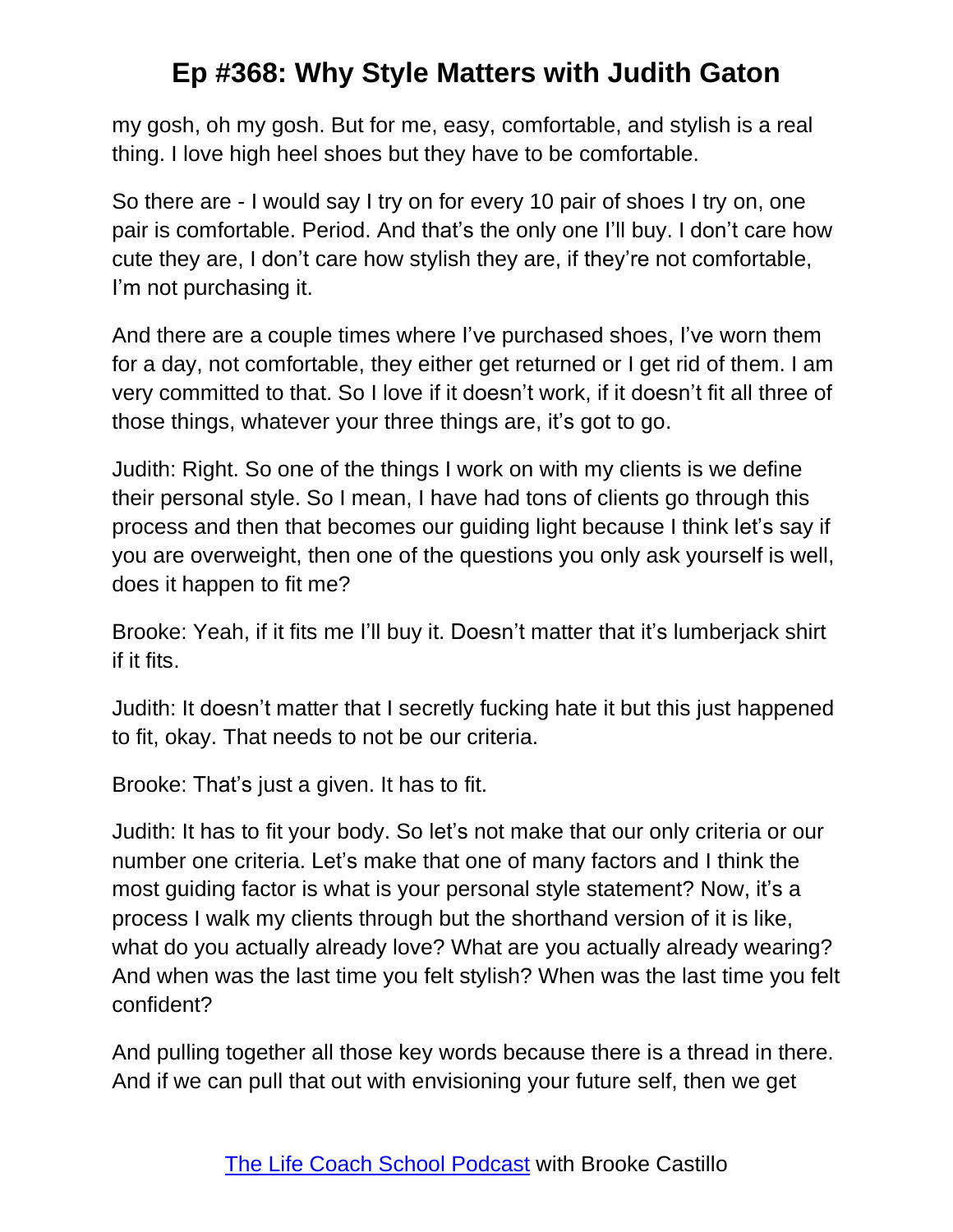my gosh, oh my gosh. But for me, easy, comfortable, and stylish is a real thing. I love high heel shoes but they have to be comfortable.

So there are - I would say I try on for every 10 pair of shoes I try on, one pair is comfortable. Period. And that's the only one I'll buy. I don't care how cute they are, I don't care how stylish they are, if they're not comfortable, I'm not purchasing it.

And there are a couple times where I've purchased shoes, I've worn them for a day, not comfortable, they either get returned or I get rid of them. I am very committed to that. So I love if it doesn't work, if it doesn't fit all three of those things, whatever your three things are, it's got to go.

Judith: Right. So one of the things I work on with my clients is we define their personal style. So I mean, I have had tons of clients go through this process and then that becomes our guiding light because I think let's say if you are overweight, then one of the questions you only ask yourself is well, does it happen to fit me?

Brooke: Yeah, if it fits me I'll buy it. Doesn't matter that it's lumberjack shirt if it fits.

Judith: It doesn't matter that I secretly fucking hate it but this just happened to fit, okay. That needs to not be our criteria.

Brooke: That's just a given. It has to fit.

Judith: It has to fit your body. So let's not make that our only criteria or our number one criteria. Let's make that one of many factors and I think the most guiding factor is what is your personal style statement? Now, it's a process I walk my clients through but the shorthand version of it is like, what do you actually already love? What are you actually already wearing? And when was the last time you felt stylish? When was the last time you felt confident?

And pulling together all those key words because there is a thread in there. And if we can pull that out with envisioning your future self, then we get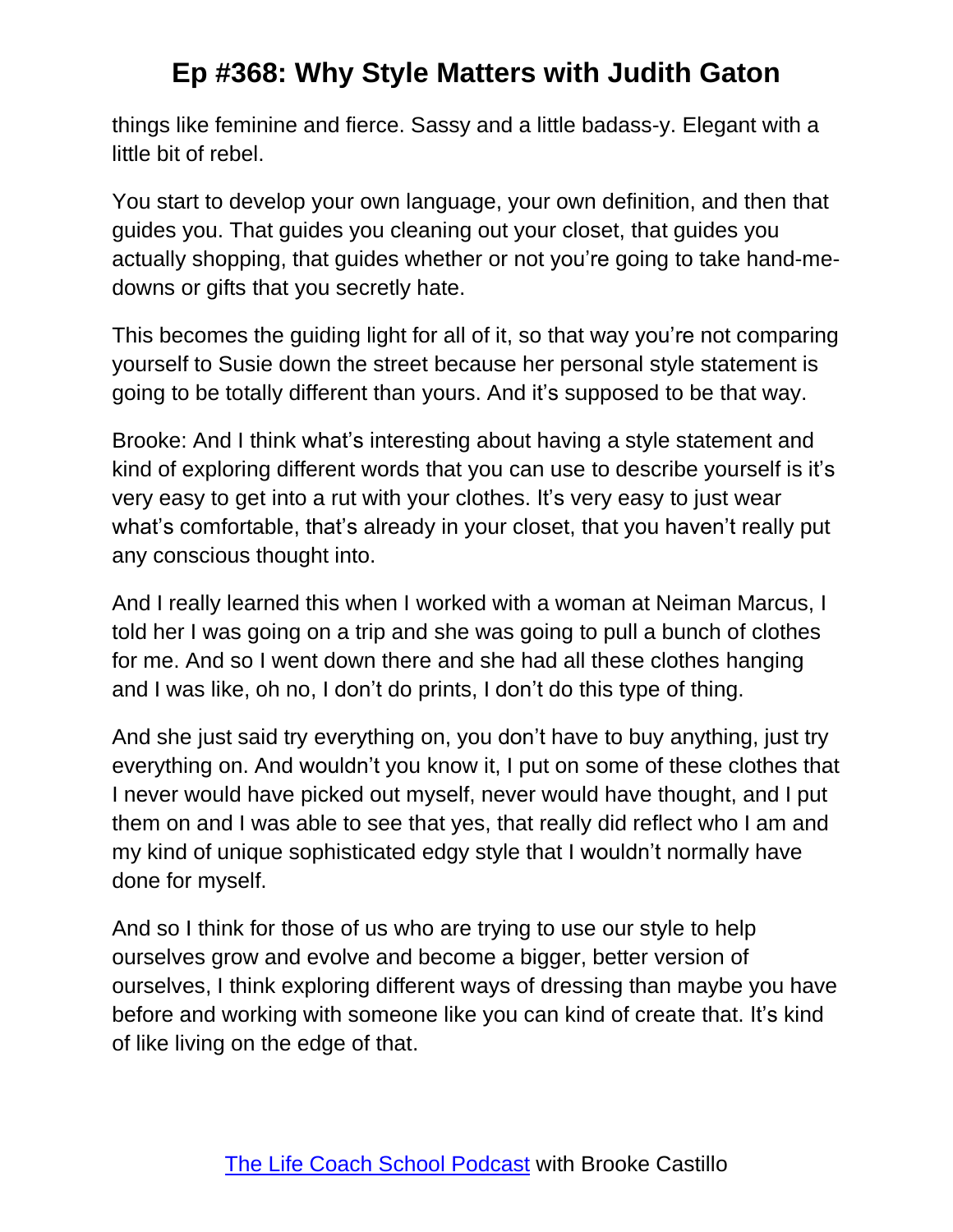things like feminine and fierce. Sassy and a little badass-y. Elegant with a little bit of rebel.

You start to develop your own language, your own definition, and then that guides you. That guides you cleaning out your closet, that guides you actually shopping, that guides whether or not you're going to take hand-medowns or gifts that you secretly hate.

This becomes the guiding light for all of it, so that way you're not comparing yourself to Susie down the street because her personal style statement is going to be totally different than yours. And it's supposed to be that way.

Brooke: And I think what's interesting about having a style statement and kind of exploring different words that you can use to describe yourself is it's very easy to get into a rut with your clothes. It's very easy to just wear what's comfortable, that's already in your closet, that you haven't really put any conscious thought into.

And I really learned this when I worked with a woman at Neiman Marcus, I told her I was going on a trip and she was going to pull a bunch of clothes for me. And so I went down there and she had all these clothes hanging and I was like, oh no, I don't do prints, I don't do this type of thing.

And she just said try everything on, you don't have to buy anything, just try everything on. And wouldn't you know it, I put on some of these clothes that I never would have picked out myself, never would have thought, and I put them on and I was able to see that yes, that really did reflect who I am and my kind of unique sophisticated edgy style that I wouldn't normally have done for myself.

And so I think for those of us who are trying to use our style to help ourselves grow and evolve and become a bigger, better version of ourselves, I think exploring different ways of dressing than maybe you have before and working with someone like you can kind of create that. It's kind of like living on the edge of that.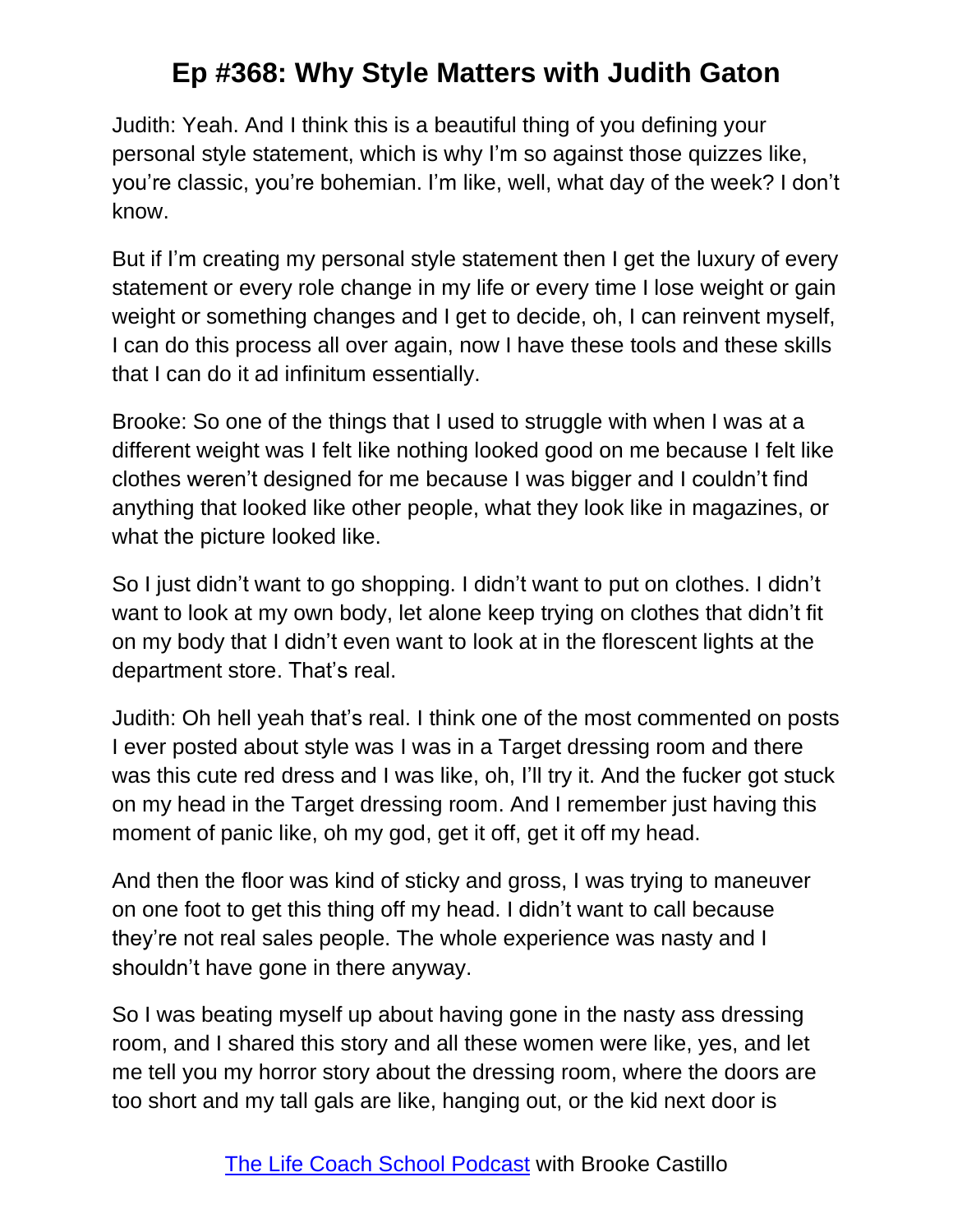Judith: Yeah. And I think this is a beautiful thing of you defining your personal style statement, which is why I'm so against those quizzes like, you're classic, you're bohemian. I'm like, well, what day of the week? I don't know.

But if I'm creating my personal style statement then I get the luxury of every statement or every role change in my life or every time I lose weight or gain weight or something changes and I get to decide, oh, I can reinvent myself, I can do this process all over again, now I have these tools and these skills that I can do it ad infinitum essentially.

Brooke: So one of the things that I used to struggle with when I was at a different weight was I felt like nothing looked good on me because I felt like clothes weren't designed for me because I was bigger and I couldn't find anything that looked like other people, what they look like in magazines, or what the picture looked like.

So I just didn't want to go shopping. I didn't want to put on clothes. I didn't want to look at my own body, let alone keep trying on clothes that didn't fit on my body that I didn't even want to look at in the florescent lights at the department store. That's real.

Judith: Oh hell yeah that's real. I think one of the most commented on posts I ever posted about style was I was in a Target dressing room and there was this cute red dress and I was like, oh, I'll try it. And the fucker got stuck on my head in the Target dressing room. And I remember just having this moment of panic like, oh my god, get it off, get it off my head.

And then the floor was kind of sticky and gross, I was trying to maneuver on one foot to get this thing off my head. I didn't want to call because they're not real sales people. The whole experience was nasty and I shouldn't have gone in there anyway.

So I was beating myself up about having gone in the nasty ass dressing room, and I shared this story and all these women were like, yes, and let me tell you my horror story about the dressing room, where the doors are too short and my tall gals are like, hanging out, or the kid next door is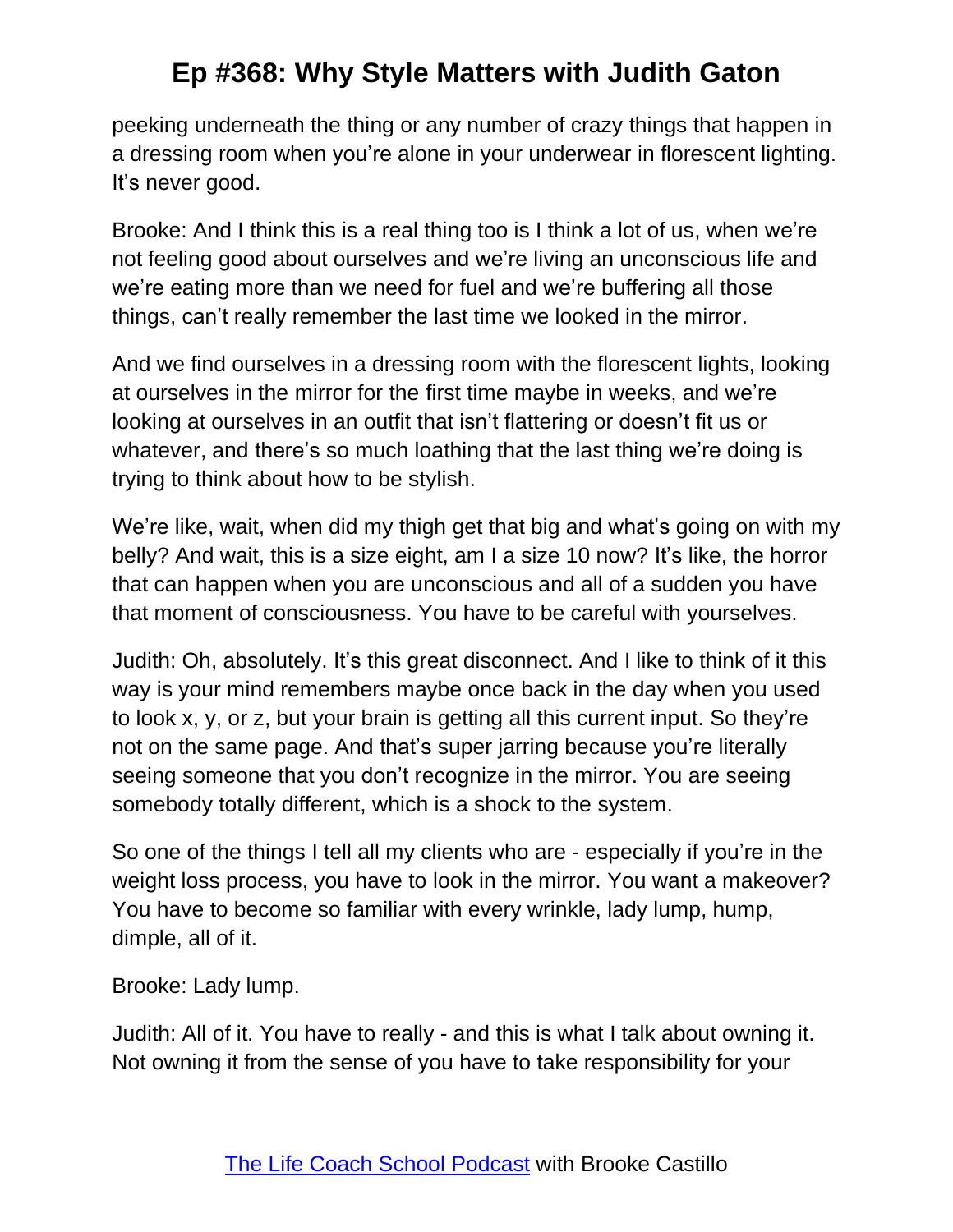peeking underneath the thing or any number of crazy things that happen in a dressing room when you're alone in your underwear in florescent lighting. It's never good.

Brooke: And I think this is a real thing too is I think a lot of us, when we're not feeling good about ourselves and we're living an unconscious life and we're eating more than we need for fuel and we're buffering all those things, can't really remember the last time we looked in the mirror.

And we find ourselves in a dressing room with the florescent lights, looking at ourselves in the mirror for the first time maybe in weeks, and we're looking at ourselves in an outfit that isn't flattering or doesn't fit us or whatever, and there's so much loathing that the last thing we're doing is trying to think about how to be stylish.

We're like, wait, when did my thigh get that big and what's going on with my belly? And wait, this is a size eight, am I a size 10 now? It's like, the horror that can happen when you are unconscious and all of a sudden you have that moment of consciousness. You have to be careful with yourselves.

Judith: Oh, absolutely. It's this great disconnect. And I like to think of it this way is your mind remembers maybe once back in the day when you used to look x, y, or z, but your brain is getting all this current input. So they're not on the same page. And that's super jarring because you're literally seeing someone that you don't recognize in the mirror. You are seeing somebody totally different, which is a shock to the system.

So one of the things I tell all my clients who are - especially if you're in the weight loss process, you have to look in the mirror. You want a makeover? You have to become so familiar with every wrinkle, lady lump, hump, dimple, all of it.

Brooke: Lady lump.

Judith: All of it. You have to really - and this is what I talk about owning it. Not owning it from the sense of you have to take responsibility for your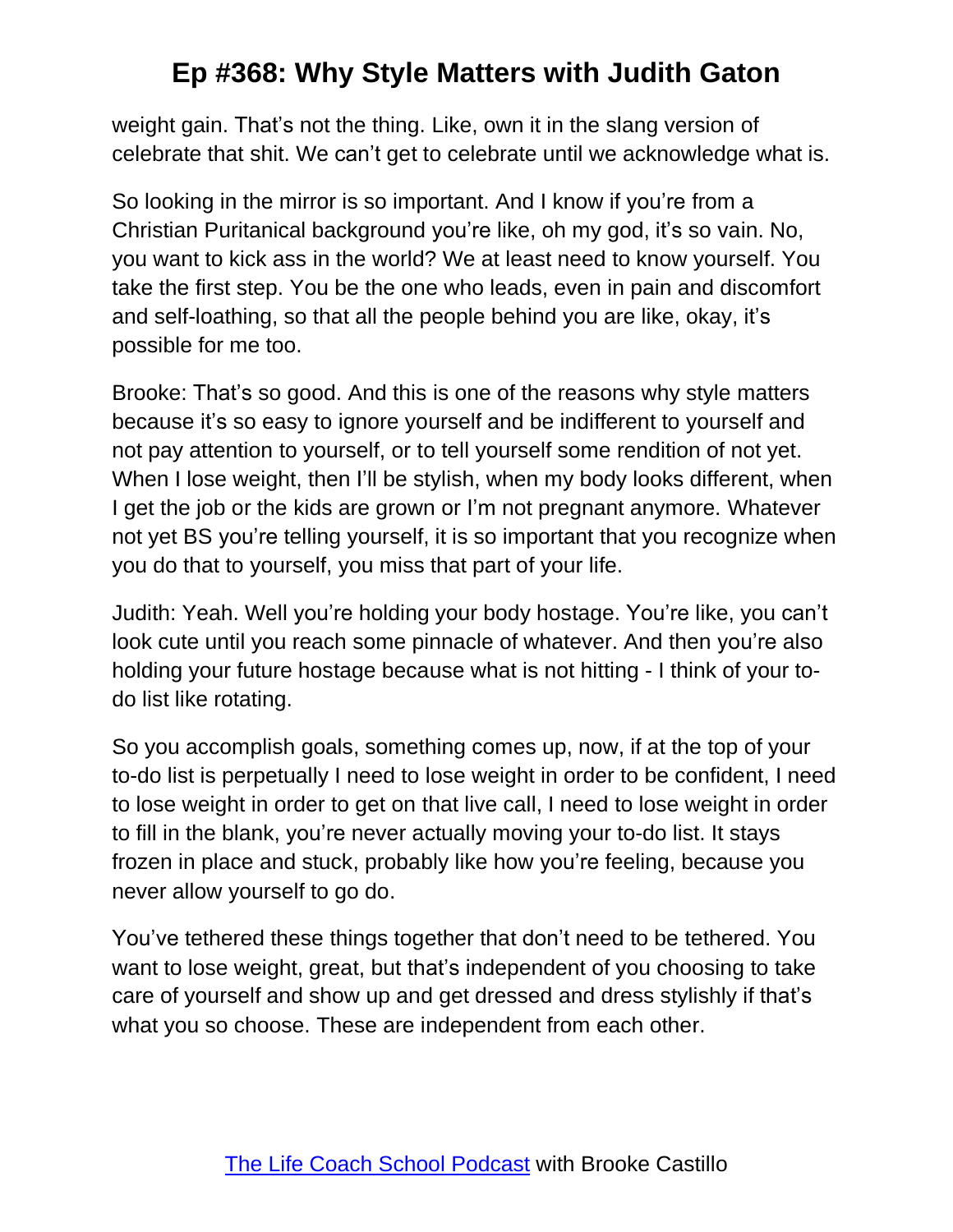weight gain. That's not the thing. Like, own it in the slang version of celebrate that shit. We can't get to celebrate until we acknowledge what is.

So looking in the mirror is so important. And I know if you're from a Christian Puritanical background you're like, oh my god, it's so vain. No, you want to kick ass in the world? We at least need to know yourself. You take the first step. You be the one who leads, even in pain and discomfort and self-loathing, so that all the people behind you are like, okay, it's possible for me too.

Brooke: That's so good. And this is one of the reasons why style matters because it's so easy to ignore yourself and be indifferent to yourself and not pay attention to yourself, or to tell yourself some rendition of not yet. When I lose weight, then I'll be stylish, when my body looks different, when I get the job or the kids are grown or I'm not pregnant anymore. Whatever not yet BS you're telling yourself, it is so important that you recognize when you do that to yourself, you miss that part of your life.

Judith: Yeah. Well you're holding your body hostage. You're like, you can't look cute until you reach some pinnacle of whatever. And then you're also holding your future hostage because what is not hitting - I think of your todo list like rotating.

So you accomplish goals, something comes up, now, if at the top of your to-do list is perpetually I need to lose weight in order to be confident, I need to lose weight in order to get on that live call, I need to lose weight in order to fill in the blank, you're never actually moving your to-do list. It stays frozen in place and stuck, probably like how you're feeling, because you never allow yourself to go do.

You've tethered these things together that don't need to be tethered. You want to lose weight, great, but that's independent of you choosing to take care of yourself and show up and get dressed and dress stylishly if that's what you so choose. These are independent from each other.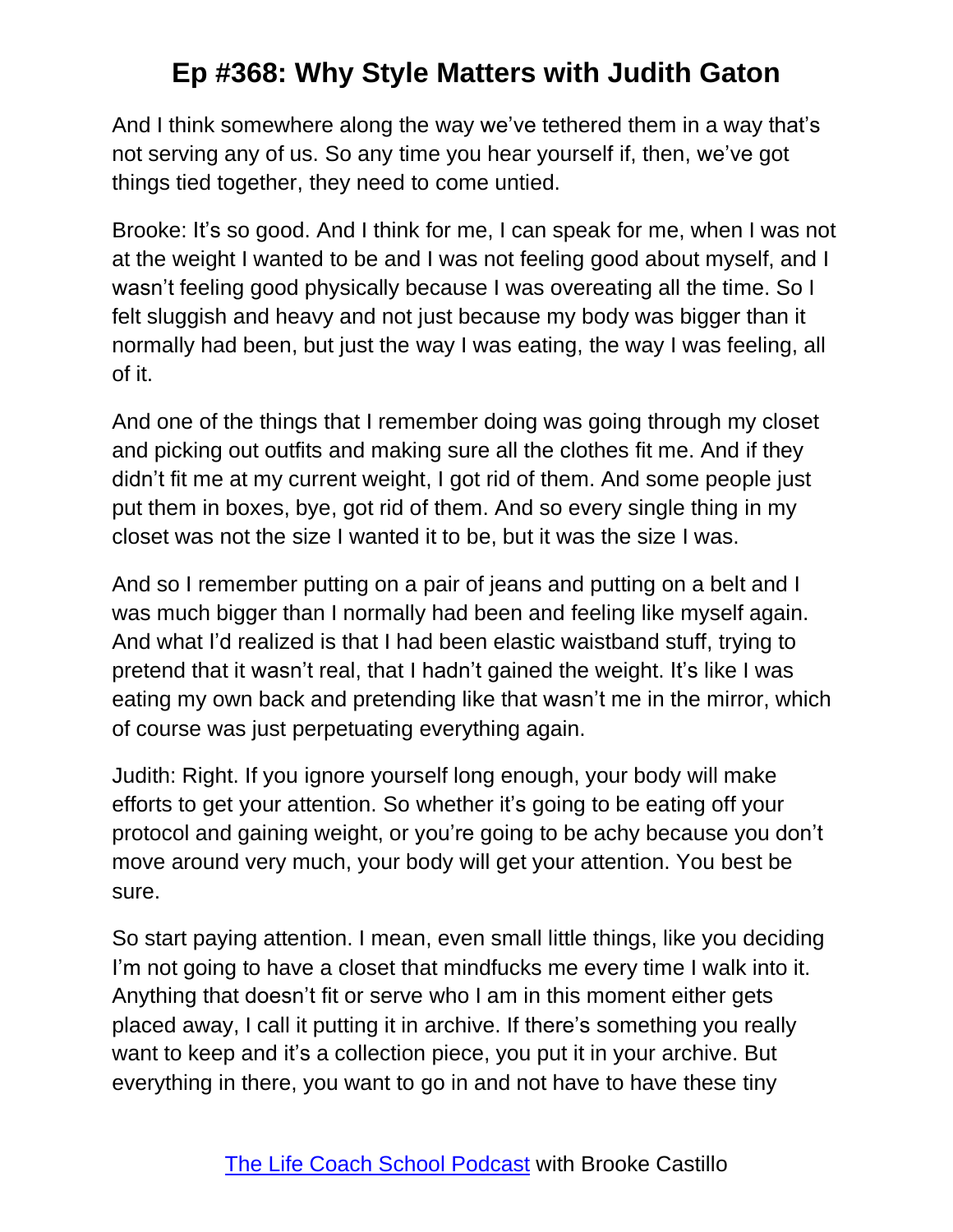And I think somewhere along the way we've tethered them in a way that's not serving any of us. So any time you hear yourself if, then, we've got things tied together, they need to come untied.

Brooke: It's so good. And I think for me, I can speak for me, when I was not at the weight I wanted to be and I was not feeling good about myself, and I wasn't feeling good physically because I was overeating all the time. So I felt sluggish and heavy and not just because my body was bigger than it normally had been, but just the way I was eating, the way I was feeling, all of it.

And one of the things that I remember doing was going through my closet and picking out outfits and making sure all the clothes fit me. And if they didn't fit me at my current weight, I got rid of them. And some people just put them in boxes, bye, got rid of them. And so every single thing in my closet was not the size I wanted it to be, but it was the size I was.

And so I remember putting on a pair of jeans and putting on a belt and I was much bigger than I normally had been and feeling like myself again. And what I'd realized is that I had been elastic waistband stuff, trying to pretend that it wasn't real, that I hadn't gained the weight. It's like I was eating my own back and pretending like that wasn't me in the mirror, which of course was just perpetuating everything again.

Judith: Right. If you ignore yourself long enough, your body will make efforts to get your attention. So whether it's going to be eating off your protocol and gaining weight, or you're going to be achy because you don't move around very much, your body will get your attention. You best be sure.

So start paying attention. I mean, even small little things, like you deciding I'm not going to have a closet that mindfucks me every time I walk into it. Anything that doesn't fit or serve who I am in this moment either gets placed away, I call it putting it in archive. If there's something you really want to keep and it's a collection piece, you put it in your archive. But everything in there, you want to go in and not have to have these tiny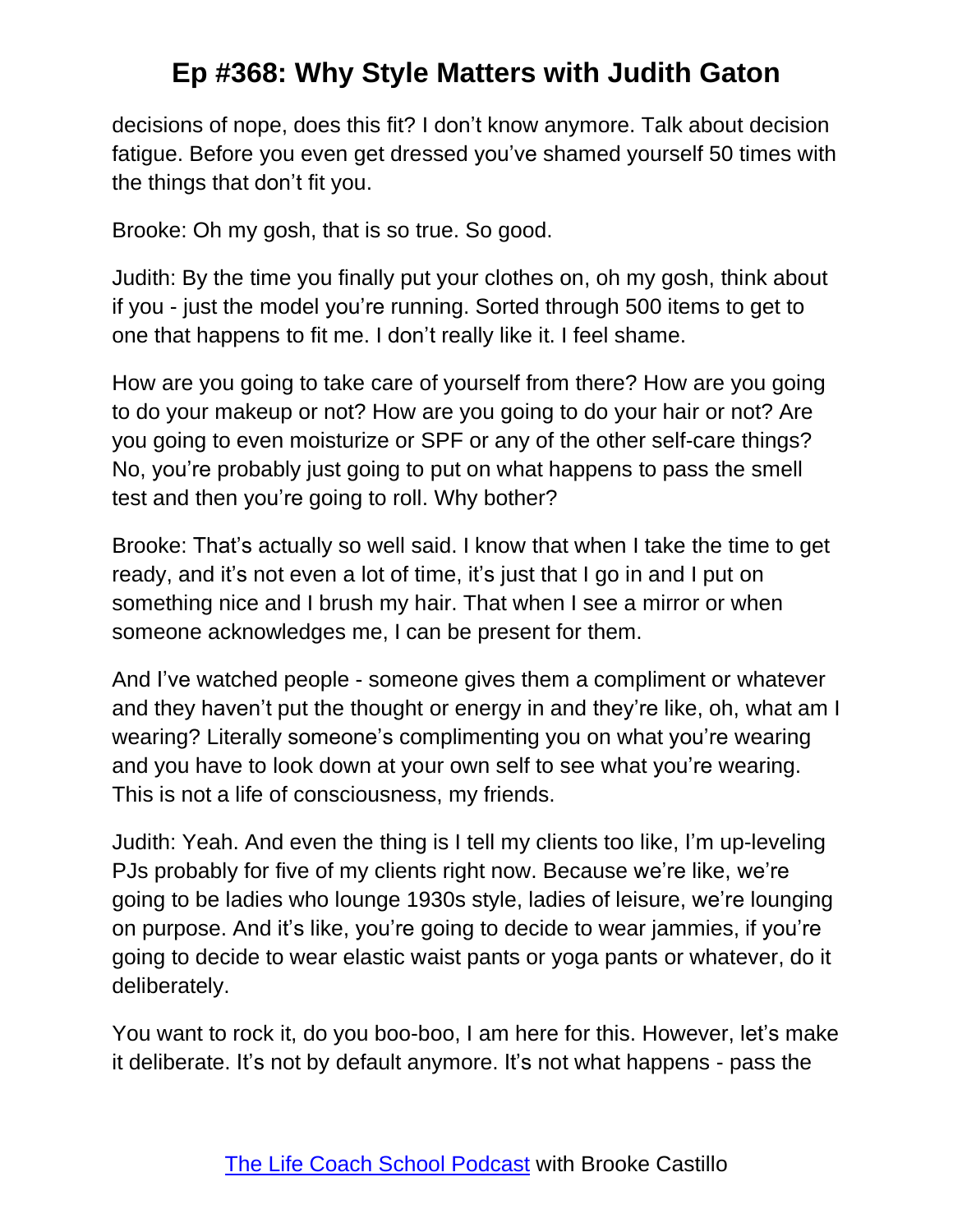decisions of nope, does this fit? I don't know anymore. Talk about decision fatigue. Before you even get dressed you've shamed yourself 50 times with the things that don't fit you.

Brooke: Oh my gosh, that is so true. So good.

Judith: By the time you finally put your clothes on, oh my gosh, think about if you - just the model you're running. Sorted through 500 items to get to one that happens to fit me. I don't really like it. I feel shame.

How are you going to take care of yourself from there? How are you going to do your makeup or not? How are you going to do your hair or not? Are you going to even moisturize or SPF or any of the other self-care things? No, you're probably just going to put on what happens to pass the smell test and then you're going to roll. Why bother?

Brooke: That's actually so well said. I know that when I take the time to get ready, and it's not even a lot of time, it's just that I go in and I put on something nice and I brush my hair. That when I see a mirror or when someone acknowledges me, I can be present for them.

And I've watched people - someone gives them a compliment or whatever and they haven't put the thought or energy in and they're like, oh, what am I wearing? Literally someone's complimenting you on what you're wearing and you have to look down at your own self to see what you're wearing. This is not a life of consciousness, my friends.

Judith: Yeah. And even the thing is I tell my clients too like, I'm up-leveling PJs probably for five of my clients right now. Because we're like, we're going to be ladies who lounge 1930s style, ladies of leisure, we're lounging on purpose. And it's like, you're going to decide to wear jammies, if you're going to decide to wear elastic waist pants or yoga pants or whatever, do it deliberately.

You want to rock it, do you boo-boo, I am here for this. However, let's make it deliberate. It's not by default anymore. It's not what happens - pass the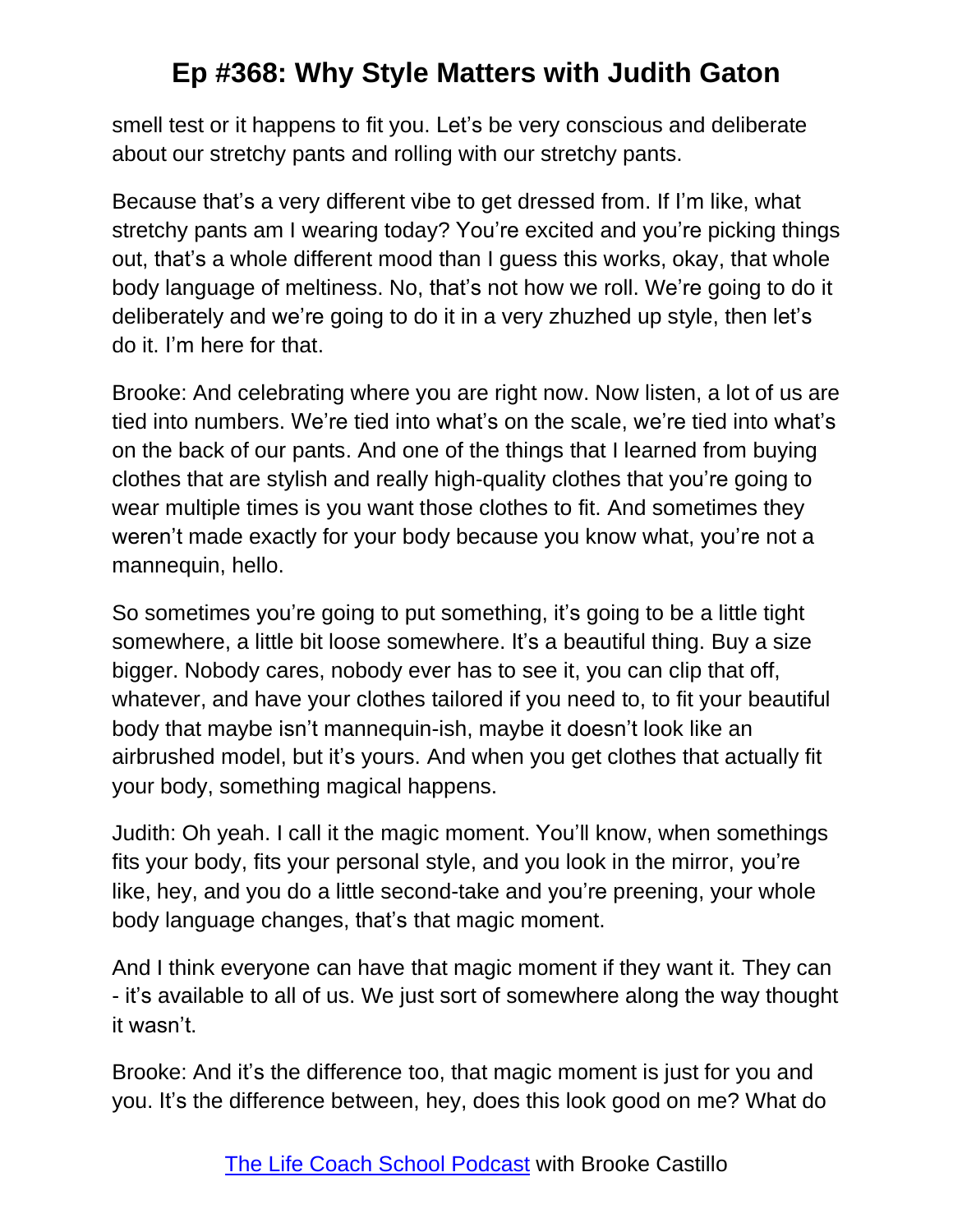smell test or it happens to fit you. Let's be very conscious and deliberate about our stretchy pants and rolling with our stretchy pants.

Because that's a very different vibe to get dressed from. If I'm like, what stretchy pants am I wearing today? You're excited and you're picking things out, that's a whole different mood than I guess this works, okay, that whole body language of meltiness. No, that's not how we roll. We're going to do it deliberately and we're going to do it in a very zhuzhed up style, then let's do it. I'm here for that.

Brooke: And celebrating where you are right now. Now listen, a lot of us are tied into numbers. We're tied into what's on the scale, we're tied into what's on the back of our pants. And one of the things that I learned from buying clothes that are stylish and really high-quality clothes that you're going to wear multiple times is you want those clothes to fit. And sometimes they weren't made exactly for your body because you know what, you're not a mannequin, hello.

So sometimes you're going to put something, it's going to be a little tight somewhere, a little bit loose somewhere. It's a beautiful thing. Buy a size bigger. Nobody cares, nobody ever has to see it, you can clip that off, whatever, and have your clothes tailored if you need to, to fit your beautiful body that maybe isn't mannequin-ish, maybe it doesn't look like an airbrushed model, but it's yours. And when you get clothes that actually fit your body, something magical happens.

Judith: Oh yeah. I call it the magic moment. You'll know, when somethings fits your body, fits your personal style, and you look in the mirror, you're like, hey, and you do a little second-take and you're preening, your whole body language changes, that's that magic moment.

And I think everyone can have that magic moment if they want it. They can - it's available to all of us. We just sort of somewhere along the way thought it wasn't.

Brooke: And it's the difference too, that magic moment is just for you and you. It's the difference between, hey, does this look good on me? What do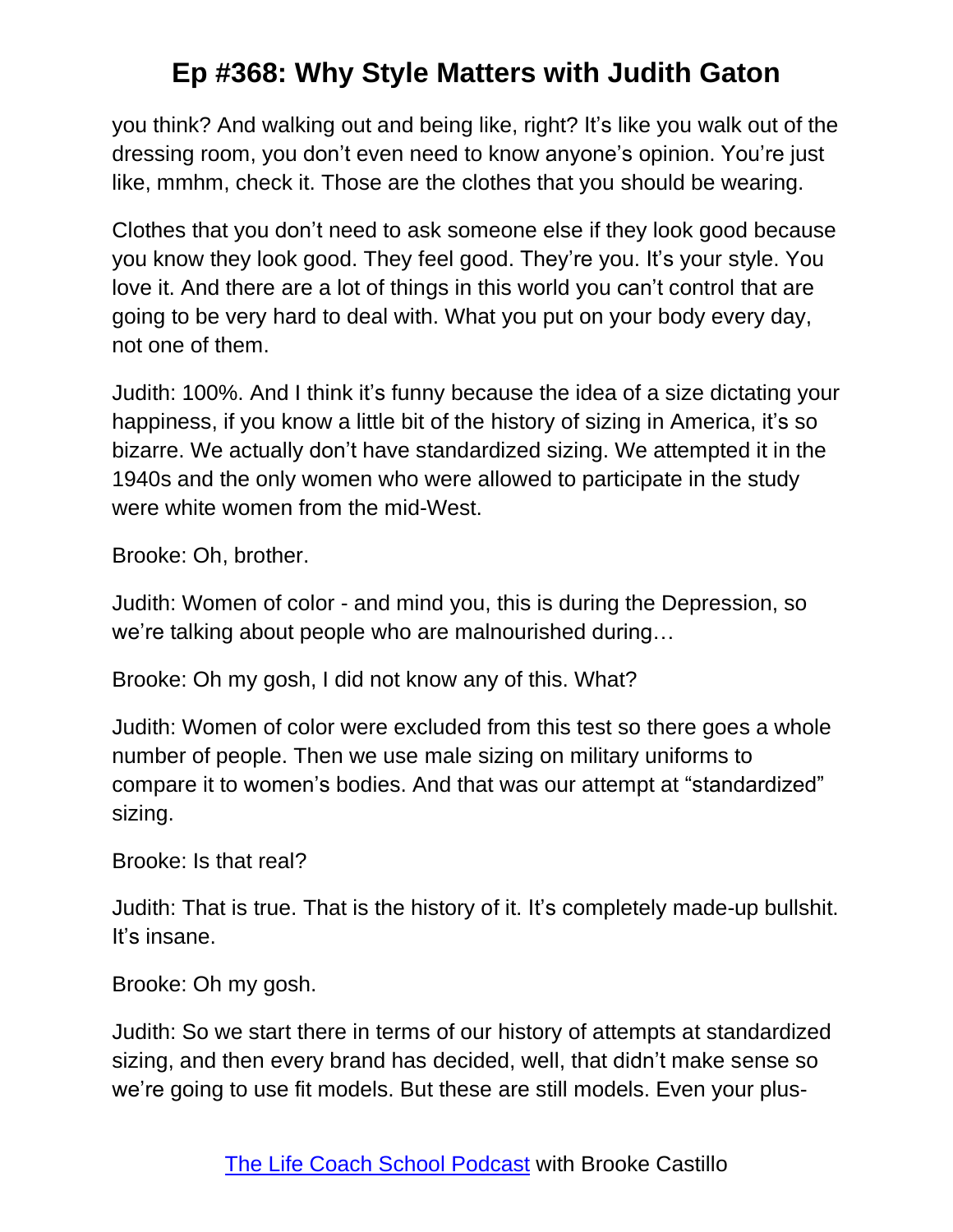you think? And walking out and being like, right? It's like you walk out of the dressing room, you don't even need to know anyone's opinion. You're just like, mmhm, check it. Those are the clothes that you should be wearing.

Clothes that you don't need to ask someone else if they look good because you know they look good. They feel good. They're you. It's your style. You love it. And there are a lot of things in this world you can't control that are going to be very hard to deal with. What you put on your body every day, not one of them.

Judith: 100%. And I think it's funny because the idea of a size dictating your happiness, if you know a little bit of the history of sizing in America, it's so bizarre. We actually don't have standardized sizing. We attempted it in the 1940s and the only women who were allowed to participate in the study were white women from the mid-West.

Brooke: Oh, brother.

Judith: Women of color - and mind you, this is during the Depression, so we're talking about people who are malnourished during…

Brooke: Oh my gosh, I did not know any of this. What?

Judith: Women of color were excluded from this test so there goes a whole number of people. Then we use male sizing on military uniforms to compare it to women's bodies. And that was our attempt at "standardized" sizing.

Brooke: Is that real?

Judith: That is true. That is the history of it. It's completely made-up bullshit. It's insane.

Brooke: Oh my gosh.

Judith: So we start there in terms of our history of attempts at standardized sizing, and then every brand has decided, well, that didn't make sense so we're going to use fit models. But these are still models. Even your plus-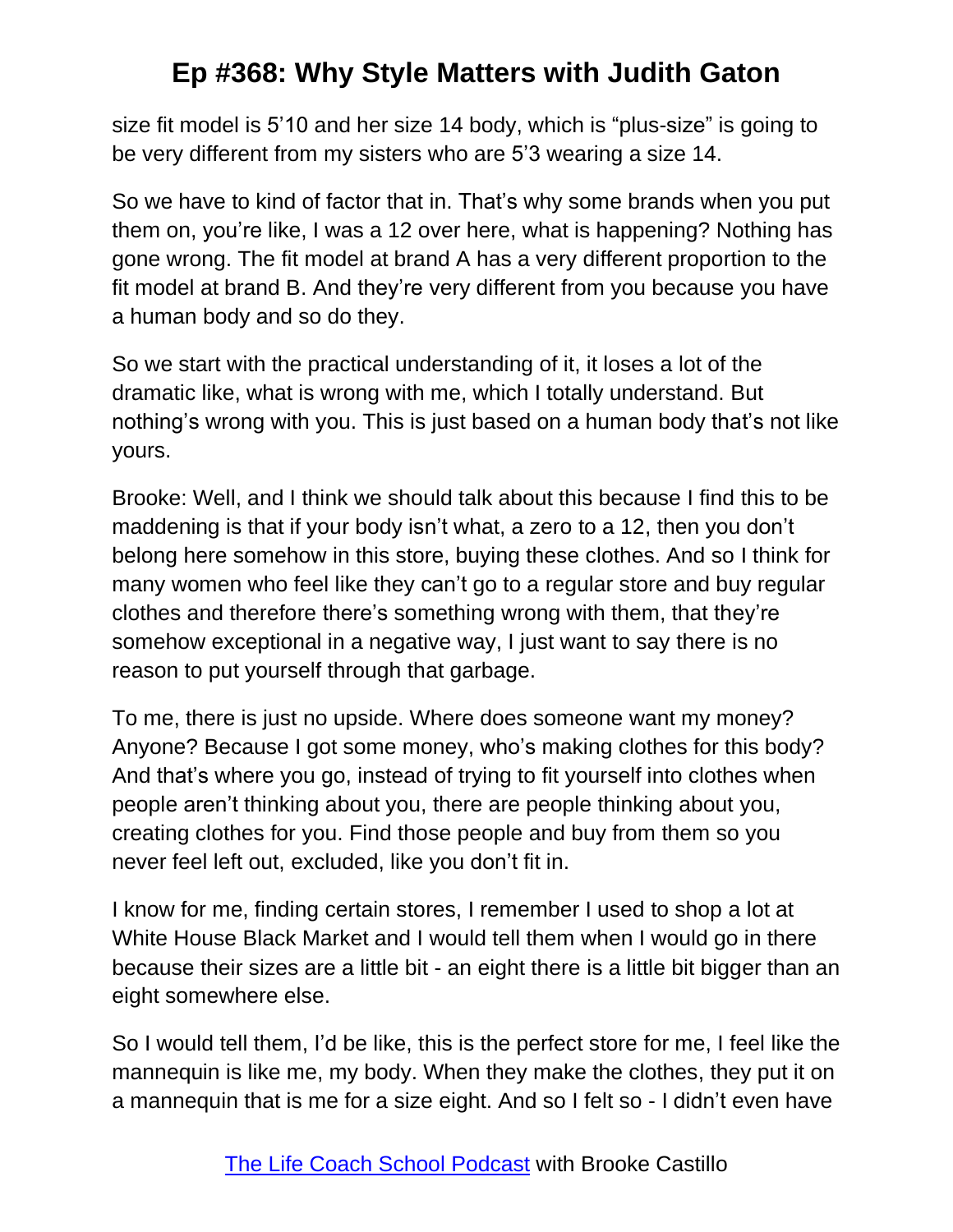size fit model is 5'10 and her size 14 body, which is "plus-size" is going to be very different from my sisters who are 5'3 wearing a size 14.

So we have to kind of factor that in. That's why some brands when you put them on, you're like, I was a 12 over here, what is happening? Nothing has gone wrong. The fit model at brand A has a very different proportion to the fit model at brand B. And they're very different from you because you have a human body and so do they.

So we start with the practical understanding of it, it loses a lot of the dramatic like, what is wrong with me, which I totally understand. But nothing's wrong with you. This is just based on a human body that's not like yours.

Brooke: Well, and I think we should talk about this because I find this to be maddening is that if your body isn't what, a zero to a 12, then you don't belong here somehow in this store, buying these clothes. And so I think for many women who feel like they can't go to a regular store and buy regular clothes and therefore there's something wrong with them, that they're somehow exceptional in a negative way, I just want to say there is no reason to put yourself through that garbage.

To me, there is just no upside. Where does someone want my money? Anyone? Because I got some money, who's making clothes for this body? And that's where you go, instead of trying to fit yourself into clothes when people aren't thinking about you, there are people thinking about you, creating clothes for you. Find those people and buy from them so you never feel left out, excluded, like you don't fit in.

I know for me, finding certain stores, I remember I used to shop a lot at White House Black Market and I would tell them when I would go in there because their sizes are a little bit - an eight there is a little bit bigger than an eight somewhere else.

So I would tell them, I'd be like, this is the perfect store for me, I feel like the mannequin is like me, my body. When they make the clothes, they put it on a mannequin that is me for a size eight. And so I felt so - I didn't even have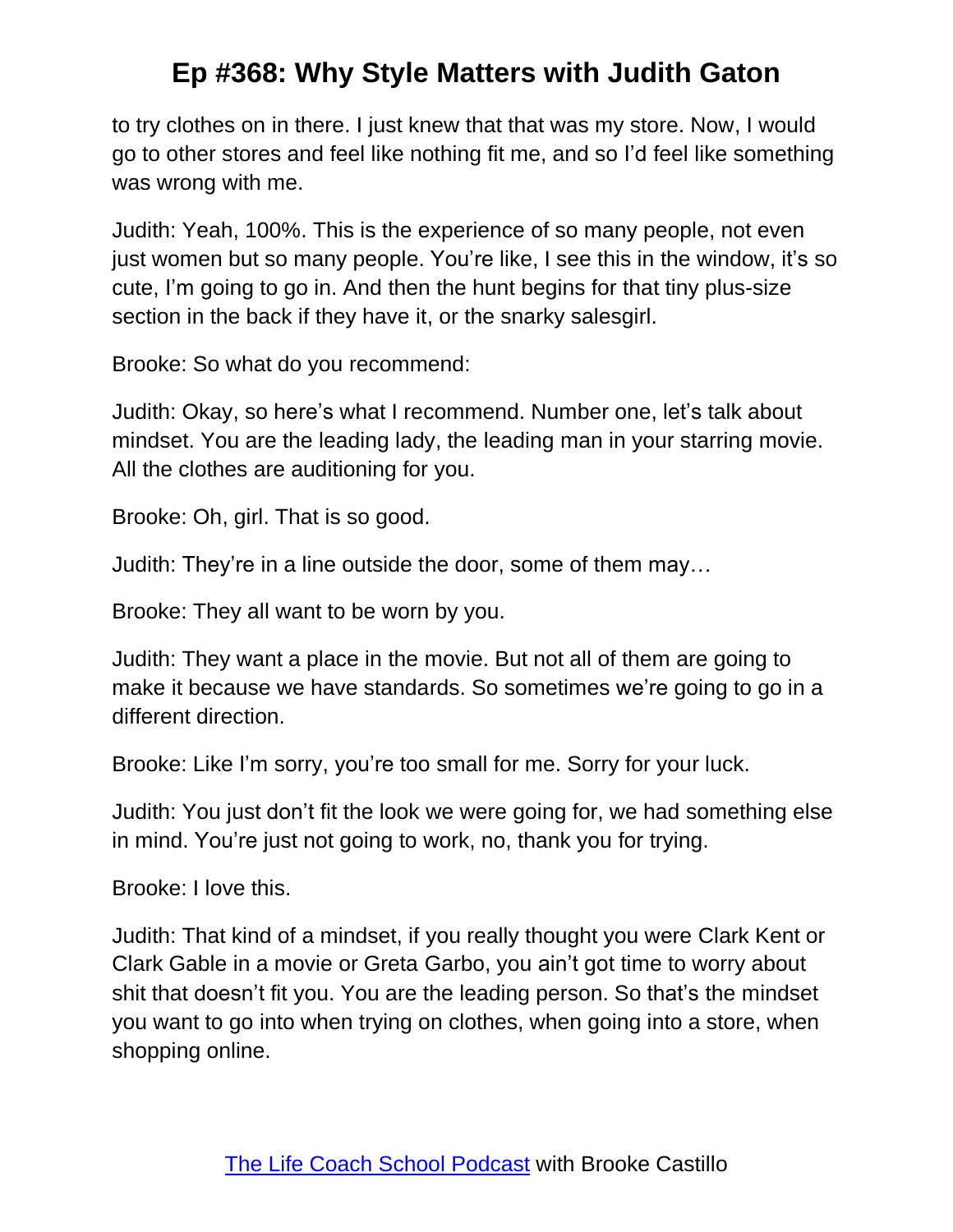to try clothes on in there. I just knew that that was my store. Now, I would go to other stores and feel like nothing fit me, and so I'd feel like something was wrong with me.

Judith: Yeah, 100%. This is the experience of so many people, not even just women but so many people. You're like, I see this in the window, it's so cute, I'm going to go in. And then the hunt begins for that tiny plus-size section in the back if they have it, or the snarky salesgirl.

Brooke: So what do you recommend:

Judith: Okay, so here's what I recommend. Number one, let's talk about mindset. You are the leading lady, the leading man in your starring movie. All the clothes are auditioning for you.

Brooke: Oh, girl. That is so good.

Judith: They're in a line outside the door, some of them may…

Brooke: They all want to be worn by you.

Judith: They want a place in the movie. But not all of them are going to make it because we have standards. So sometimes we're going to go in a different direction.

Brooke: Like I'm sorry, you're too small for me. Sorry for your luck.

Judith: You just don't fit the look we were going for, we had something else in mind. You're just not going to work, no, thank you for trying.

Brooke: I love this.

Judith: That kind of a mindset, if you really thought you were Clark Kent or Clark Gable in a movie or Greta Garbo, you ain't got time to worry about shit that doesn't fit you. You are the leading person. So that's the mindset you want to go into when trying on clothes, when going into a store, when shopping online.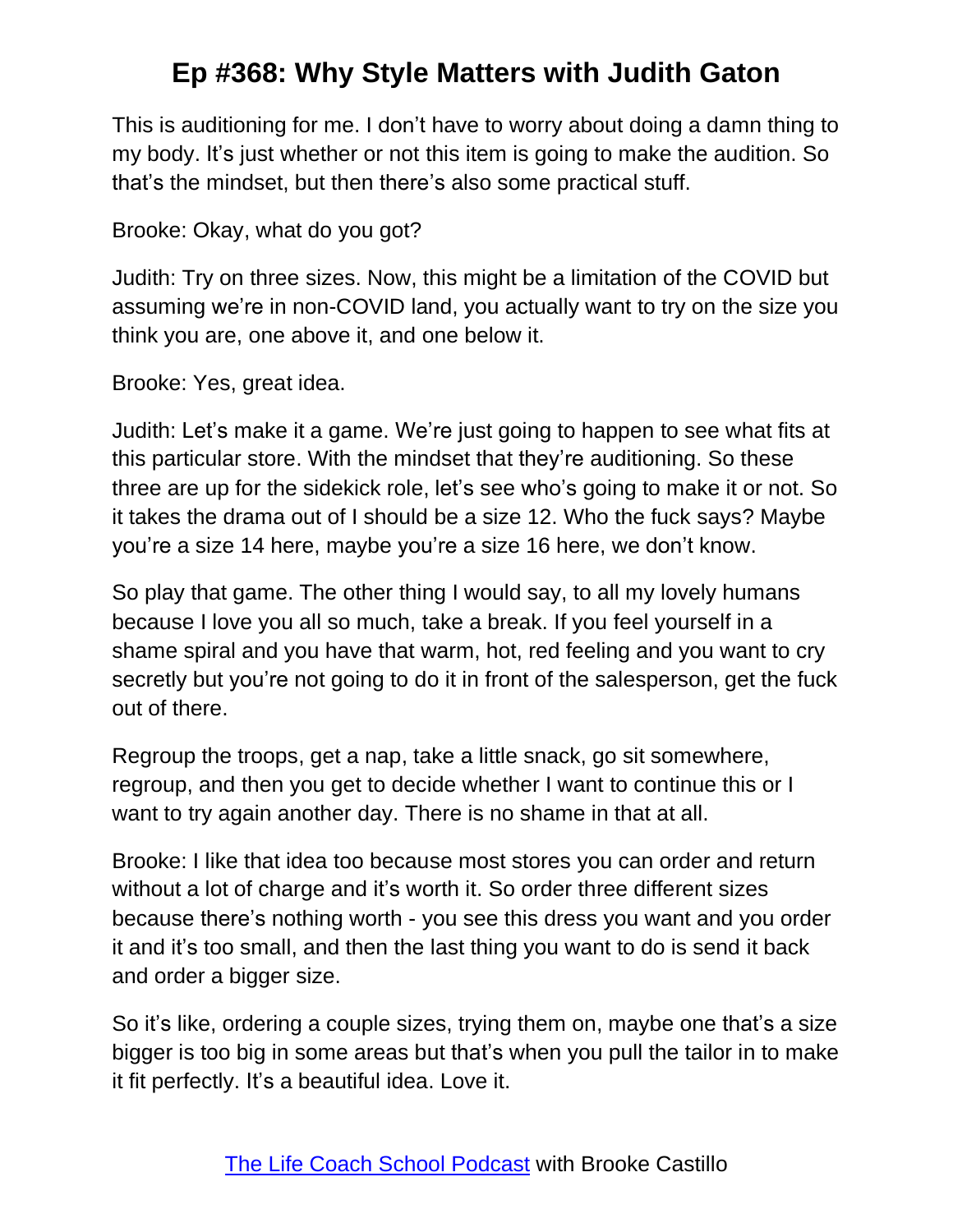This is auditioning for me. I don't have to worry about doing a damn thing to my body. It's just whether or not this item is going to make the audition. So that's the mindset, but then there's also some practical stuff.

Brooke: Okay, what do you got?

Judith: Try on three sizes. Now, this might be a limitation of the COVID but assuming we're in non-COVID land, you actually want to try on the size you think you are, one above it, and one below it.

Brooke: Yes, great idea.

Judith: Let's make it a game. We're just going to happen to see what fits at this particular store. With the mindset that they're auditioning. So these three are up for the sidekick role, let's see who's going to make it or not. So it takes the drama out of I should be a size 12. Who the fuck says? Maybe you're a size 14 here, maybe you're a size 16 here, we don't know.

So play that game. The other thing I would say, to all my lovely humans because I love you all so much, take a break. If you feel yourself in a shame spiral and you have that warm, hot, red feeling and you want to cry secretly but you're not going to do it in front of the salesperson, get the fuck out of there.

Regroup the troops, get a nap, take a little snack, go sit somewhere, regroup, and then you get to decide whether I want to continue this or I want to try again another day. There is no shame in that at all.

Brooke: I like that idea too because most stores you can order and return without a lot of charge and it's worth it. So order three different sizes because there's nothing worth - you see this dress you want and you order it and it's too small, and then the last thing you want to do is send it back and order a bigger size.

So it's like, ordering a couple sizes, trying them on, maybe one that's a size bigger is too big in some areas but that's when you pull the tailor in to make it fit perfectly. It's a beautiful idea. Love it.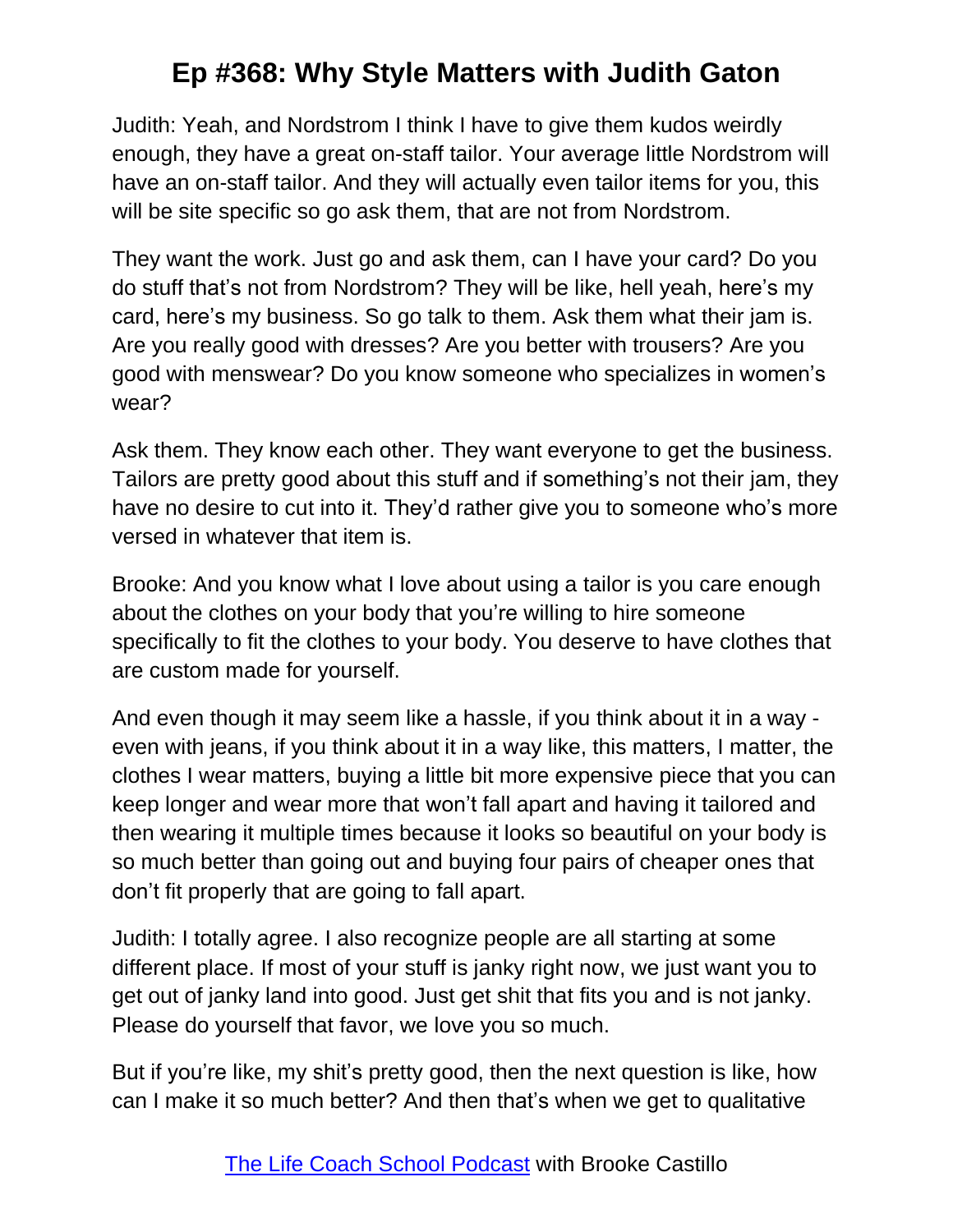Judith: Yeah, and Nordstrom I think I have to give them kudos weirdly enough, they have a great on-staff tailor. Your average little Nordstrom will have an on-staff tailor. And they will actually even tailor items for you, this will be site specific so go ask them, that are not from Nordstrom.

They want the work. Just go and ask them, can I have your card? Do you do stuff that's not from Nordstrom? They will be like, hell yeah, here's my card, here's my business. So go talk to them. Ask them what their jam is. Are you really good with dresses? Are you better with trousers? Are you good with menswear? Do you know someone who specializes in women's wear?

Ask them. They know each other. They want everyone to get the business. Tailors are pretty good about this stuff and if something's not their jam, they have no desire to cut into it. They'd rather give you to someone who's more versed in whatever that item is.

Brooke: And you know what I love about using a tailor is you care enough about the clothes on your body that you're willing to hire someone specifically to fit the clothes to your body. You deserve to have clothes that are custom made for yourself.

And even though it may seem like a hassle, if you think about it in a way even with jeans, if you think about it in a way like, this matters, I matter, the clothes I wear matters, buying a little bit more expensive piece that you can keep longer and wear more that won't fall apart and having it tailored and then wearing it multiple times because it looks so beautiful on your body is so much better than going out and buying four pairs of cheaper ones that don't fit properly that are going to fall apart.

Judith: I totally agree. I also recognize people are all starting at some different place. If most of your stuff is janky right now, we just want you to get out of janky land into good. Just get shit that fits you and is not janky. Please do yourself that favor, we love you so much.

But if you're like, my shit's pretty good, then the next question is like, how can I make it so much better? And then that's when we get to qualitative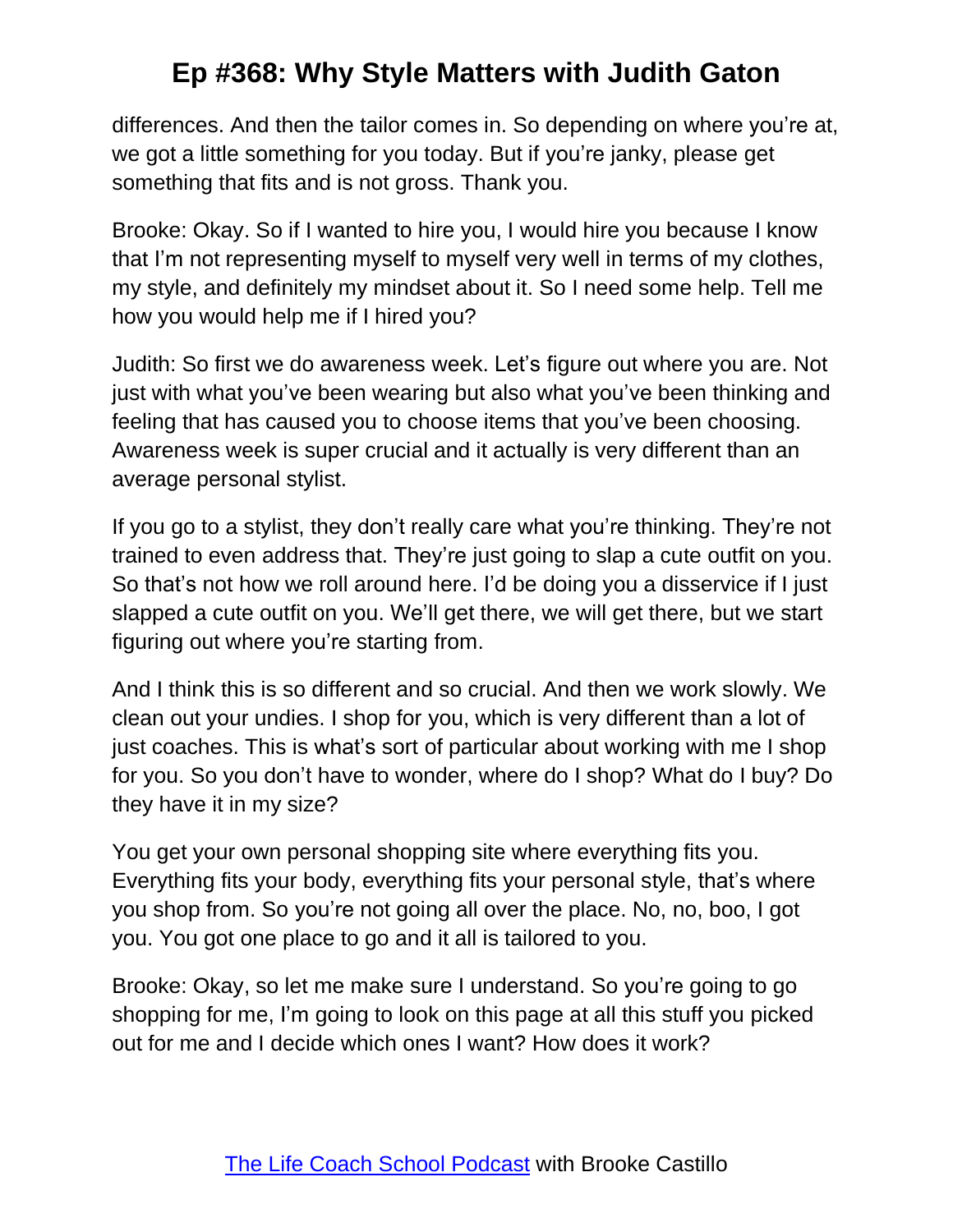differences. And then the tailor comes in. So depending on where you're at, we got a little something for you today. But if you're janky, please get something that fits and is not gross. Thank you.

Brooke: Okay. So if I wanted to hire you, I would hire you because I know that I'm not representing myself to myself very well in terms of my clothes, my style, and definitely my mindset about it. So I need some help. Tell me how you would help me if I hired you?

Judith: So first we do awareness week. Let's figure out where you are. Not just with what you've been wearing but also what you've been thinking and feeling that has caused you to choose items that you've been choosing. Awareness week is super crucial and it actually is very different than an average personal stylist.

If you go to a stylist, they don't really care what you're thinking. They're not trained to even address that. They're just going to slap a cute outfit on you. So that's not how we roll around here. I'd be doing you a disservice if I just slapped a cute outfit on you. We'll get there, we will get there, but we start figuring out where you're starting from.

And I think this is so different and so crucial. And then we work slowly. We clean out your undies. I shop for you, which is very different than a lot of just coaches. This is what's sort of particular about working with me I shop for you. So you don't have to wonder, where do I shop? What do I buy? Do they have it in my size?

You get your own personal shopping site where everything fits you. Everything fits your body, everything fits your personal style, that's where you shop from. So you're not going all over the place. No, no, boo, I got you. You got one place to go and it all is tailored to you.

Brooke: Okay, so let me make sure I understand. So you're going to go shopping for me, I'm going to look on this page at all this stuff you picked out for me and I decide which ones I want? How does it work?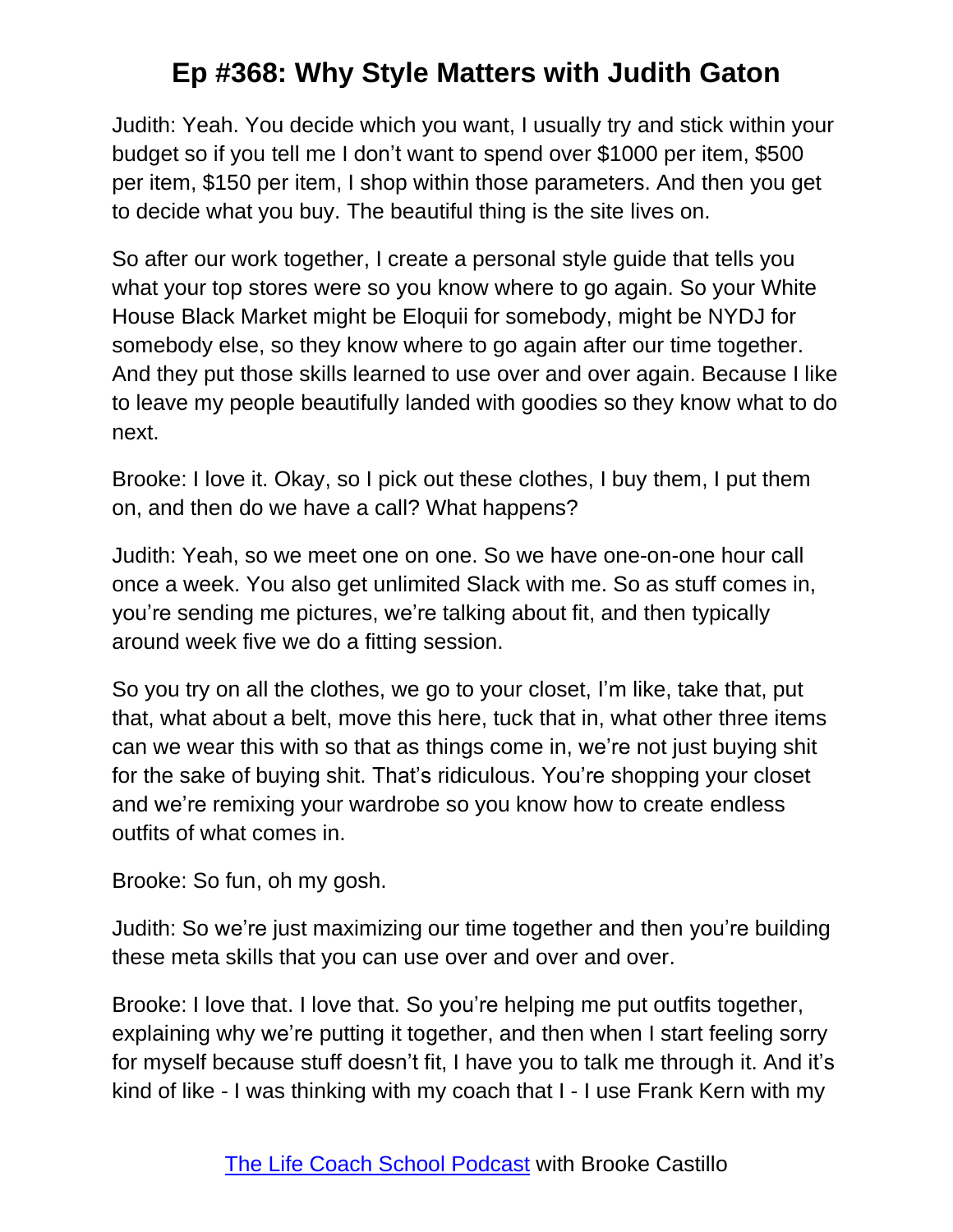Judith: Yeah. You decide which you want, I usually try and stick within your budget so if you tell me I don't want to spend over \$1000 per item, \$500 per item, \$150 per item, I shop within those parameters. And then you get to decide what you buy. The beautiful thing is the site lives on.

So after our work together, I create a personal style guide that tells you what your top stores were so you know where to go again. So your White House Black Market might be Eloquii for somebody, might be NYDJ for somebody else, so they know where to go again after our time together. And they put those skills learned to use over and over again. Because I like to leave my people beautifully landed with goodies so they know what to do next.

Brooke: I love it. Okay, so I pick out these clothes, I buy them, I put them on, and then do we have a call? What happens?

Judith: Yeah, so we meet one on one. So we have one-on-one hour call once a week. You also get unlimited Slack with me. So as stuff comes in, you're sending me pictures, we're talking about fit, and then typically around week five we do a fitting session.

So you try on all the clothes, we go to your closet, I'm like, take that, put that, what about a belt, move this here, tuck that in, what other three items can we wear this with so that as things come in, we're not just buying shit for the sake of buying shit. That's ridiculous. You're shopping your closet and we're remixing your wardrobe so you know how to create endless outfits of what comes in.

Brooke: So fun, oh my gosh.

Judith: So we're just maximizing our time together and then you're building these meta skills that you can use over and over and over.

Brooke: I love that. I love that. So you're helping me put outfits together, explaining why we're putting it together, and then when I start feeling sorry for myself because stuff doesn't fit, I have you to talk me through it. And it's kind of like - I was thinking with my coach that I - I use Frank Kern with my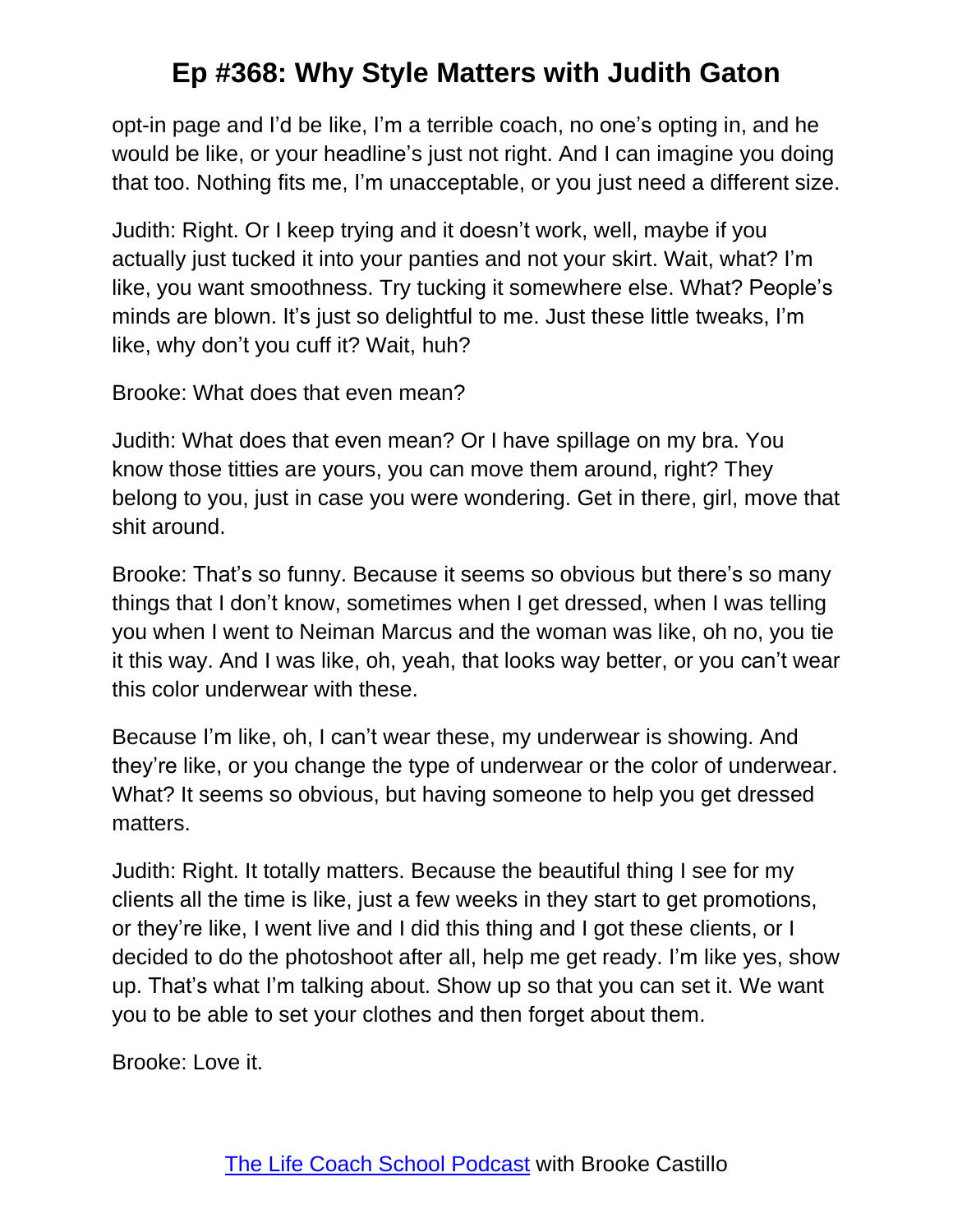opt-in page and I'd be like, I'm a terrible coach, no one's opting in, and he would be like, or your headline's just not right. And I can imagine you doing that too. Nothing fits me, I'm unacceptable, or you just need a different size.

Judith: Right. Or I keep trying and it doesn't work, well, maybe if you actually just tucked it into your panties and not your skirt. Wait, what? I'm like, you want smoothness. Try tucking it somewhere else. What? People's minds are blown. It's just so delightful to me. Just these little tweaks, I'm like, why don't you cuff it? Wait, huh?

Brooke: What does that even mean?

Judith: What does that even mean? Or I have spillage on my bra. You know those titties are yours, you can move them around, right? They belong to you, just in case you were wondering. Get in there, girl, move that shit around.

Brooke: That's so funny. Because it seems so obvious but there's so many things that I don't know, sometimes when I get dressed, when I was telling you when I went to Neiman Marcus and the woman was like, oh no, you tie it this way. And I was like, oh, yeah, that looks way better, or you can't wear this color underwear with these.

Because I'm like, oh, I can't wear these, my underwear is showing. And they're like, or you change the type of underwear or the color of underwear. What? It seems so obvious, but having someone to help you get dressed matters.

Judith: Right. It totally matters. Because the beautiful thing I see for my clients all the time is like, just a few weeks in they start to get promotions, or they're like, I went live and I did this thing and I got these clients, or I decided to do the photoshoot after all, help me get ready. I'm like yes, show up. That's what I'm talking about. Show up so that you can set it. We want you to be able to set your clothes and then forget about them.

Brooke: Love it.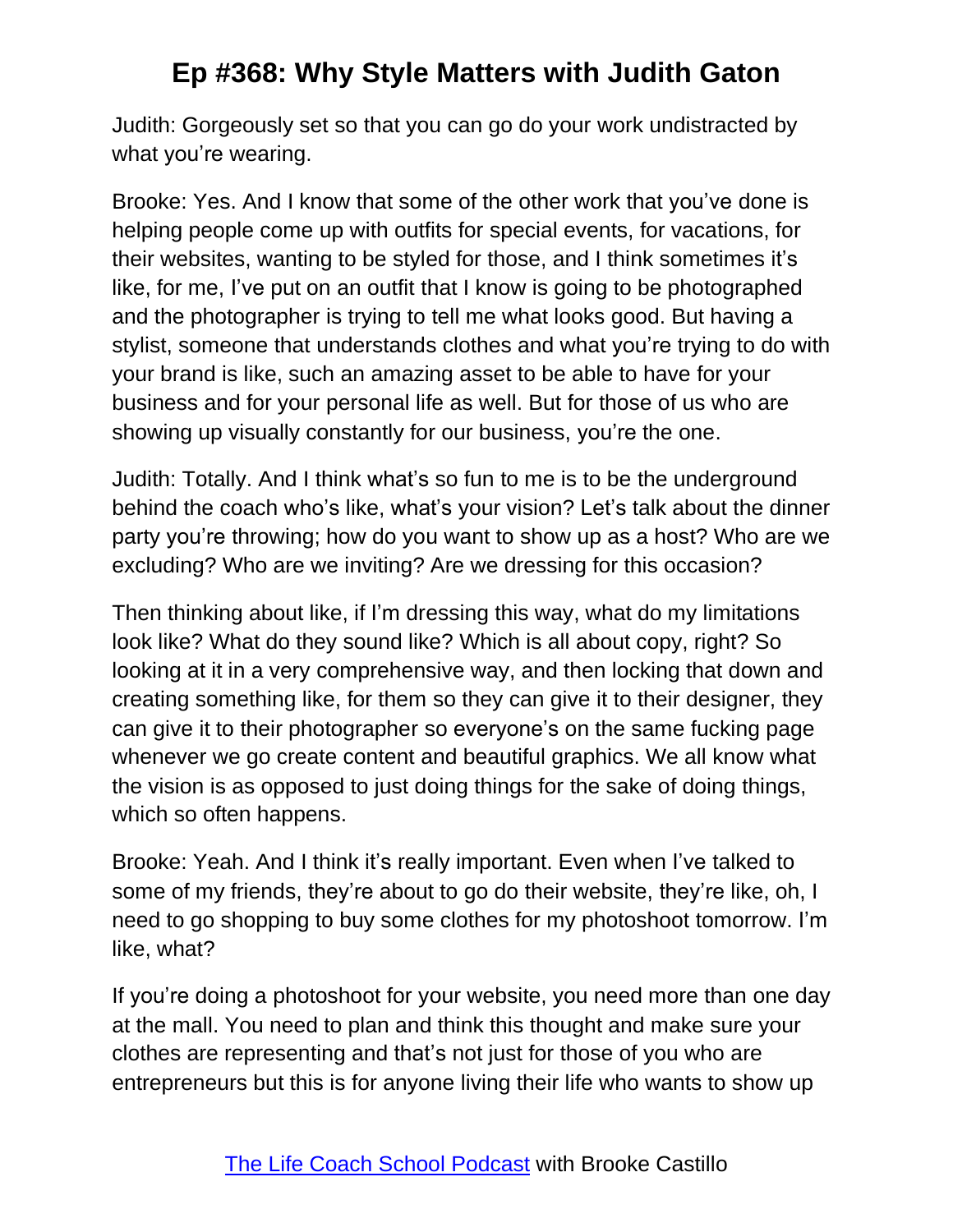Judith: Gorgeously set so that you can go do your work undistracted by what you're wearing.

Brooke: Yes. And I know that some of the other work that you've done is helping people come up with outfits for special events, for vacations, for their websites, wanting to be styled for those, and I think sometimes it's like, for me, I've put on an outfit that I know is going to be photographed and the photographer is trying to tell me what looks good. But having a stylist, someone that understands clothes and what you're trying to do with your brand is like, such an amazing asset to be able to have for your business and for your personal life as well. But for those of us who are showing up visually constantly for our business, you're the one.

Judith: Totally. And I think what's so fun to me is to be the underground behind the coach who's like, what's your vision? Let's talk about the dinner party you're throwing; how do you want to show up as a host? Who are we excluding? Who are we inviting? Are we dressing for this occasion?

Then thinking about like, if I'm dressing this way, what do my limitations look like? What do they sound like? Which is all about copy, right? So looking at it in a very comprehensive way, and then locking that down and creating something like, for them so they can give it to their designer, they can give it to their photographer so everyone's on the same fucking page whenever we go create content and beautiful graphics. We all know what the vision is as opposed to just doing things for the sake of doing things, which so often happens.

Brooke: Yeah. And I think it's really important. Even when I've talked to some of my friends, they're about to go do their website, they're like, oh, I need to go shopping to buy some clothes for my photoshoot tomorrow. I'm like, what?

If you're doing a photoshoot for your website, you need more than one day at the mall. You need to plan and think this thought and make sure your clothes are representing and that's not just for those of you who are entrepreneurs but this is for anyone living their life who wants to show up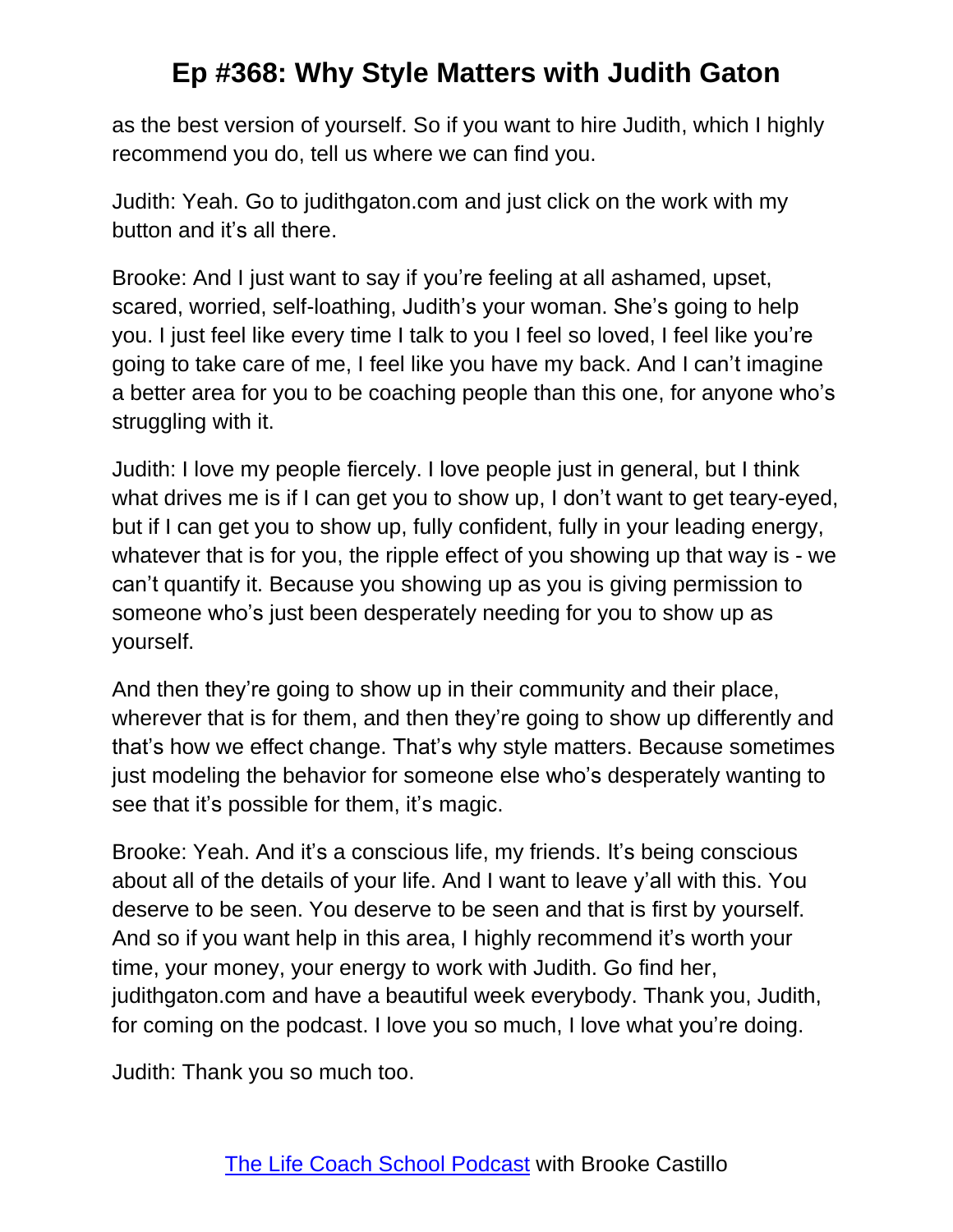as the best version of yourself. So if you want to hire Judith, which I highly recommend you do, tell us where we can find you.

Judith: Yeah. Go to judithgaton.com and just click on the work with my button and it's all there.

Brooke: And I just want to say if you're feeling at all ashamed, upset, scared, worried, self-loathing, Judith's your woman. She's going to help you. I just feel like every time I talk to you I feel so loved, I feel like you're going to take care of me, I feel like you have my back. And I can't imagine a better area for you to be coaching people than this one, for anyone who's struggling with it.

Judith: I love my people fiercely. I love people just in general, but I think what drives me is if I can get you to show up, I don't want to get teary-eyed, but if I can get you to show up, fully confident, fully in your leading energy, whatever that is for you, the ripple effect of you showing up that way is - we can't quantify it. Because you showing up as you is giving permission to someone who's just been desperately needing for you to show up as yourself.

And then they're going to show up in their community and their place, wherever that is for them, and then they're going to show up differently and that's how we effect change. That's why style matters. Because sometimes just modeling the behavior for someone else who's desperately wanting to see that it's possible for them, it's magic.

Brooke: Yeah. And it's a conscious life, my friends. It's being conscious about all of the details of your life. And I want to leave y'all with this. You deserve to be seen. You deserve to be seen and that is first by yourself. And so if you want help in this area, I highly recommend it's worth your time, your money, your energy to work with Judith. Go find her, judithgaton.com and have a beautiful week everybody. Thank you, Judith, for coming on the podcast. I love you so much, I love what you're doing.

Judith: Thank you so much too.